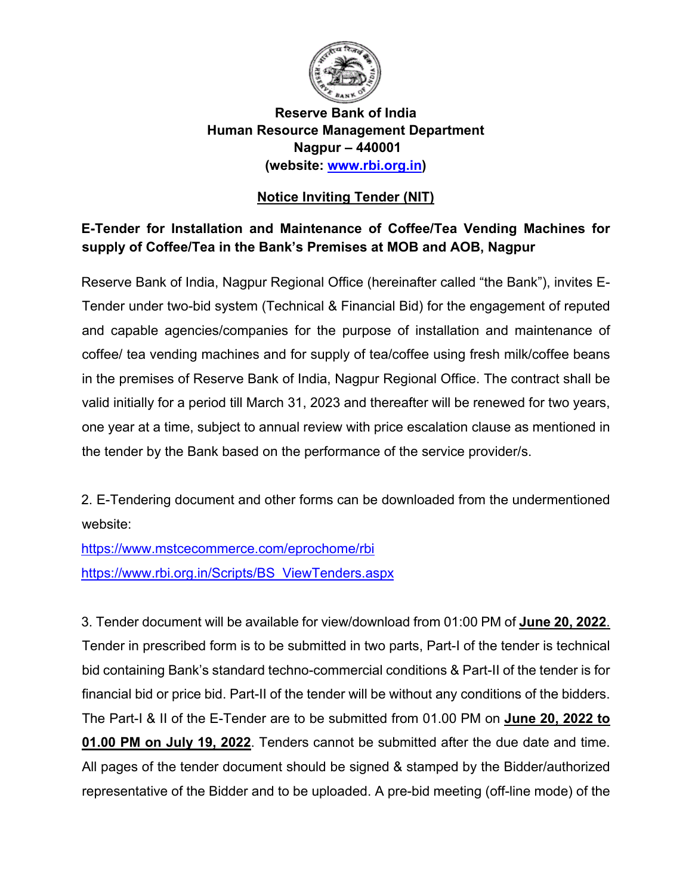

### **Reserve Bank of India Human Resource Management Department Nagpur – 440001 (website: [www.rbi.org.in\)](https://www.rbi.org.in/)**

## **Notice Inviting Tender (NIT)**

## **E-Tender for Installation and Maintenance of Coffee/Tea Vending Machines for supply of Coffee/Tea in the Bank's Premises at MOB and AOB, Nagpur**

Reserve Bank of India, Nagpur Regional Office (hereinafter called "the Bank"), invites E-Tender under two-bid system (Technical & Financial Bid) for the engagement of reputed and capable agencies/companies for the purpose of installation and maintenance of coffee/ tea vending machines and for supply of tea/coffee using fresh milk/coffee beans in the premises of Reserve Bank of India, Nagpur Regional Office. The contract shall be valid initially for a period till March 31, 2023 and thereafter will be renewed for two years, one year at a time, subject to annual review with price escalation clause as mentioned in the tender by the Bank based on the performance of the service provider/s.

2. E-Tendering document and other forms can be downloaded from the undermentioned website:

<https://www.mstcecommerce.com/eprochome/rbi> [https://www.rbi.org.in/Scripts/BS\\_ViewTenders.aspx](https://www.rbi.org.in/Scripts/BS_ViewTenders.aspx)

3. Tender document will be available for view/download from 01:00 PM of **June 20, 2022**. Tender in prescribed form is to be submitted in two parts, Part-I of the tender is technical bid containing Bank's standard techno-commercial conditions & Part-II of the tender is for financial bid or price bid. Part-II of the tender will be without any conditions of the bidders. The Part-I & II of the E-Tender are to be submitted from 01.00 PM on **June 20, 2022 to 01.00 PM on July 19, 2022**. Tenders cannot be submitted after the due date and time. All pages of the tender document should be signed & stamped by the Bidder/authorized representative of the Bidder and to be uploaded. A pre-bid meeting (off-line mode) of the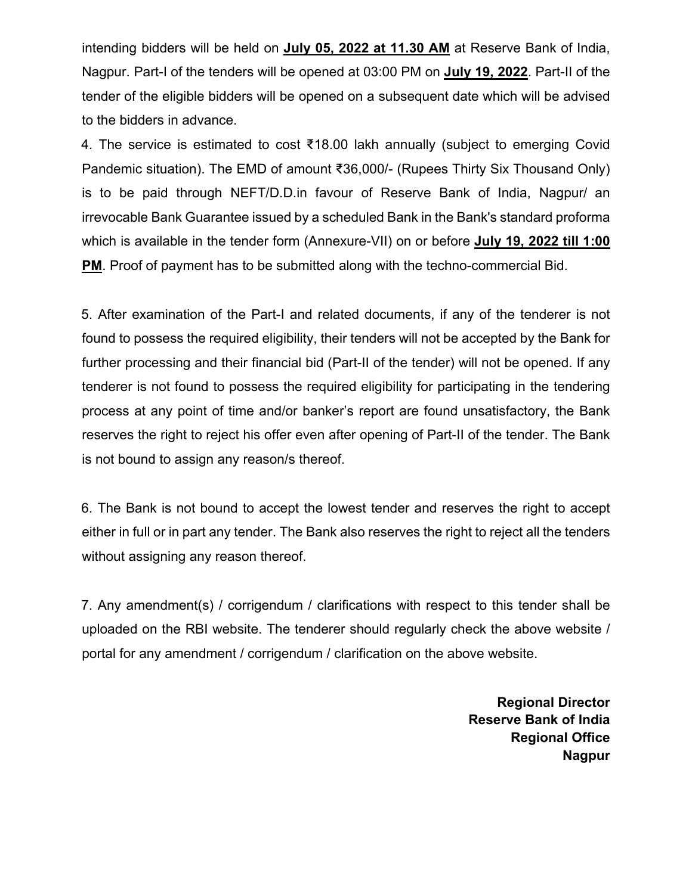intending bidders will be held on **July 05, 2022 at 11.30 AM** at Reserve Bank of India, Nagpur. Part-I of the tenders will be opened at 03:00 PM on **July 19, 2022**. Part-II of the tender of the eligible bidders will be opened on a subsequent date which will be advised to the bidders in advance.

4. The service is estimated to cost ₹18.00 lakh annually (subject to emerging Covid Pandemic situation). The EMD of amount ₹36,000/- (Rupees Thirty Six Thousand Only) is to be paid through NEFT/D.D.in favour of Reserve Bank of India, Nagpur/ an irrevocable Bank Guarantee issued by a scheduled Bank in the Bank's standard proforma which is available in the tender form (Annexure-VII) on or before **July 19, 2022 till 1:00 PM**. Proof of payment has to be submitted along with the techno-commercial Bid.

5. After examination of the Part-I and related documents, if any of the tenderer is not found to possess the required eligibility, their tenders will not be accepted by the Bank for further processing and their financial bid (Part-II of the tender) will not be opened. If any tenderer is not found to possess the required eligibility for participating in the tendering process at any point of time and/or banker's report are found unsatisfactory, the Bank reserves the right to reject his offer even after opening of Part-II of the tender. The Bank is not bound to assign any reason/s thereof.

6. The Bank is not bound to accept the lowest tender and reserves the right to accept either in full or in part any tender. The Bank also reserves the right to reject all the tenders without assigning any reason thereof.

7. Any amendment(s) / corrigendum / clarifications with respect to this tender shall be uploaded on the RBI website. The tenderer should regularly check the above website / portal for any amendment / corrigendum / clarification on the above website.

> **Regional Director Reserve Bank of India Regional Office Nagpur**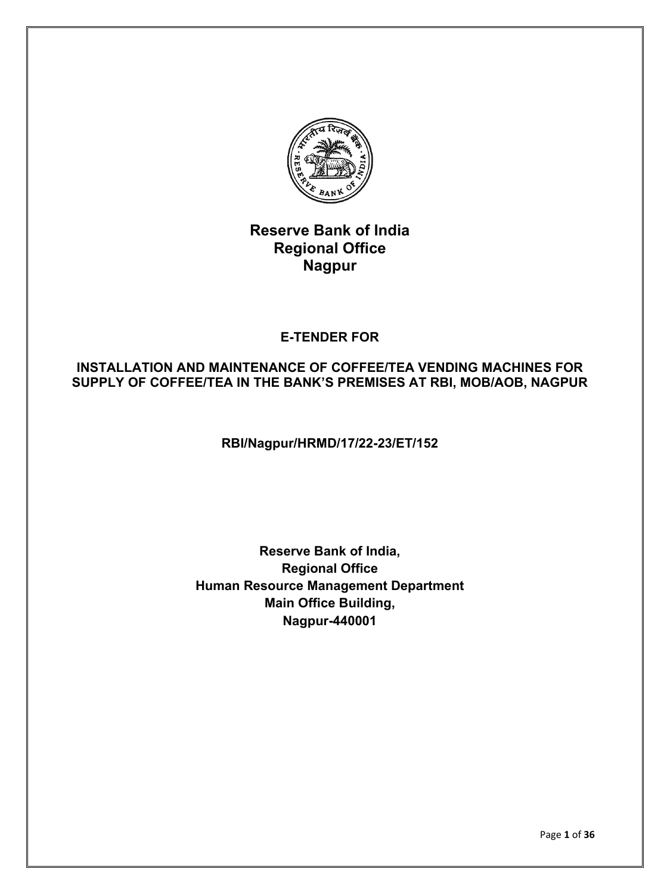

# **Reserve Bank of India Regional Office Nagpur**

## **E-TENDER FOR**

### **INSTALLATION AND MAINTENANCE OF COFFEE/TEA VENDING MACHINES FOR SUPPLY OF COFFEE/TEA IN THE BANK'S PREMISES AT RBI, MOB/AOB, NAGPUR**

**RBI/Nagpur/HRMD/17/22-23/ET/152**

## **Reserve Bank of India, Regional Office Human Resource Management Department Main Office Building, Nagpur-440001**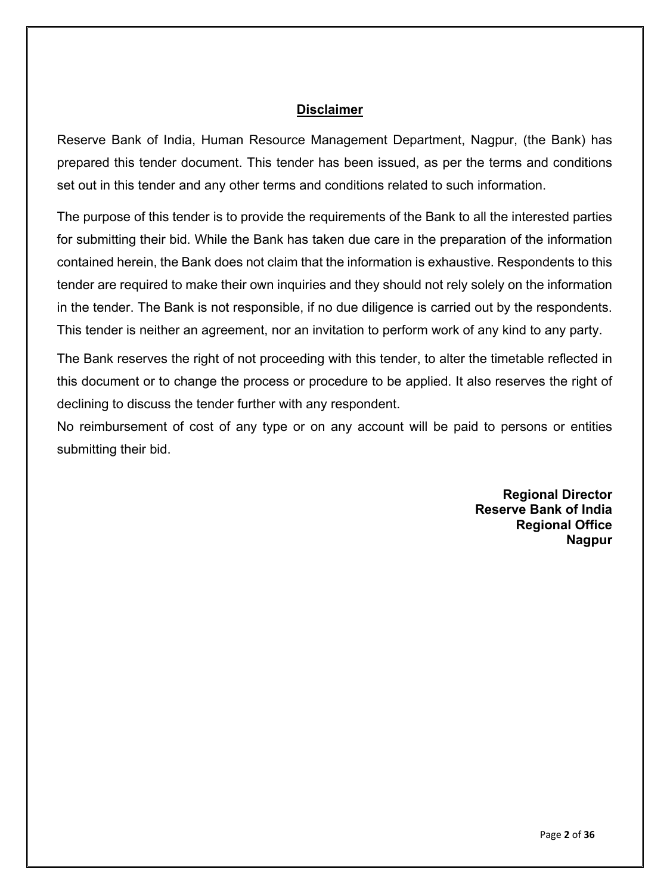#### **Disclaimer**

Reserve Bank of India, Human Resource Management Department, Nagpur, (the Bank) has prepared this tender document. This tender has been issued, as per the terms and conditions set out in this tender and any other terms and conditions related to such information.

The purpose of this tender is to provide the requirements of the Bank to all the interested parties for submitting their bid. While the Bank has taken due care in the preparation of the information contained herein, the Bank does not claim that the information is exhaustive. Respondents to this tender are required to make their own inquiries and they should not rely solely on the information in the tender. The Bank is not responsible, if no due diligence is carried out by the respondents. This tender is neither an agreement, nor an invitation to perform work of any kind to any party.

The Bank reserves the right of not proceeding with this tender, to alter the timetable reflected in this document or to change the process or procedure to be applied. It also reserves the right of declining to discuss the tender further with any respondent.

No reimbursement of cost of any type or on any account will be paid to persons or entities submitting their bid.

> **Regional Director Reserve Bank of India Regional Office Nagpur**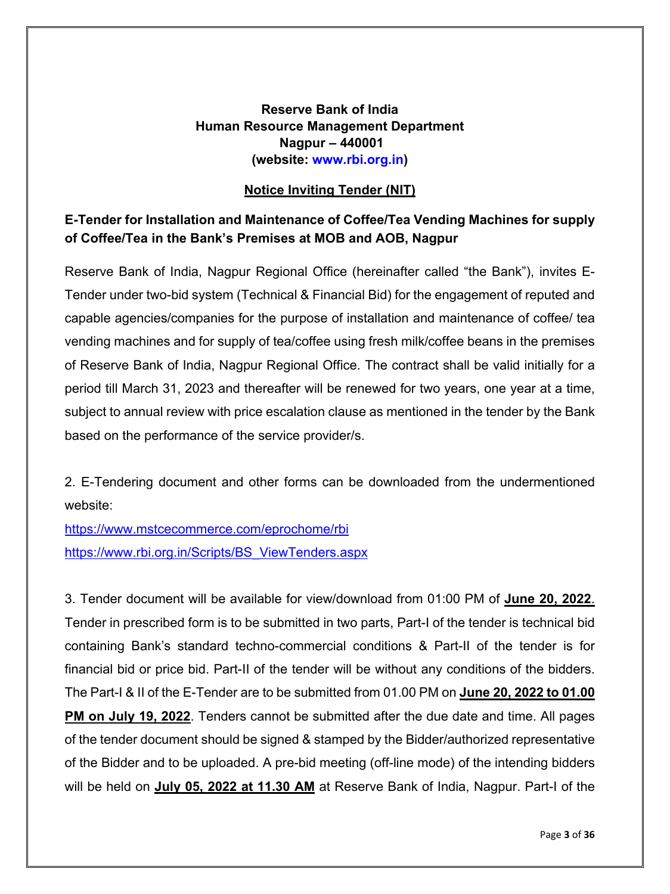### **Reserve Bank of India Human Resource Management Department Nagpur – 440001 (website: [www.rbi.org.in\)](https://www.rbi.org.in/)**

### **Notice Inviting Tender (NIT)**

### **E-Tender for Installation and Maintenance of Coffee/Tea Vending Machines for supply of Coffee/Tea in the Bank's Premises at MOB and AOB, Nagpur**

Reserve Bank of India, Nagpur Regional Office (hereinafter called "the Bank"), invites E-Tender under two-bid system (Technical & Financial Bid) for the engagement of reputed and capable agencies/companies for the purpose of installation and maintenance of coffee/ tea vending machines and for supply of tea/coffee using fresh milk/coffee beans in the premises of Reserve Bank of India, Nagpur Regional Office. The contract shall be valid initially for a period till March 31, 2023 and thereafter will be renewed for two years, one year at a time, subject to annual review with price escalation clause as mentioned in the tender by the Bank based on the performance of the service provider/s.

2. E-Tendering document and other forms can be downloaded from the undermentioned website:

<https://www.mstcecommerce.com/eprochome/rbi> [https://www.rbi.org.in/Scripts/BS\\_ViewTenders.aspx](https://www.rbi.org.in/Scripts/BS_ViewTenders.aspx)

3. Tender document will be available for view/download from 01:00 PM of **June 20, 2022**. Tender in prescribed form is to be submitted in two parts, Part-I of the tender is technical bid containing Bank's standard techno-commercial conditions & Part-II of the tender is for financial bid or price bid. Part-II of the tender will be without any conditions of the bidders. The Part-I & II of the E-Tender are to be submitted from 01.00 PM on **June 20, 2022 to 01.00 PM on July 19, 2022**. Tenders cannot be submitted after the due date and time. All pages of the tender document should be signed & stamped by the Bidder/authorized representative of the Bidder and to be uploaded. A pre-bid meeting (off-line mode) of the intending bidders will be held on **July 05, 2022 at 11.30 AM** at Reserve Bank of India, Nagpur. Part-I of the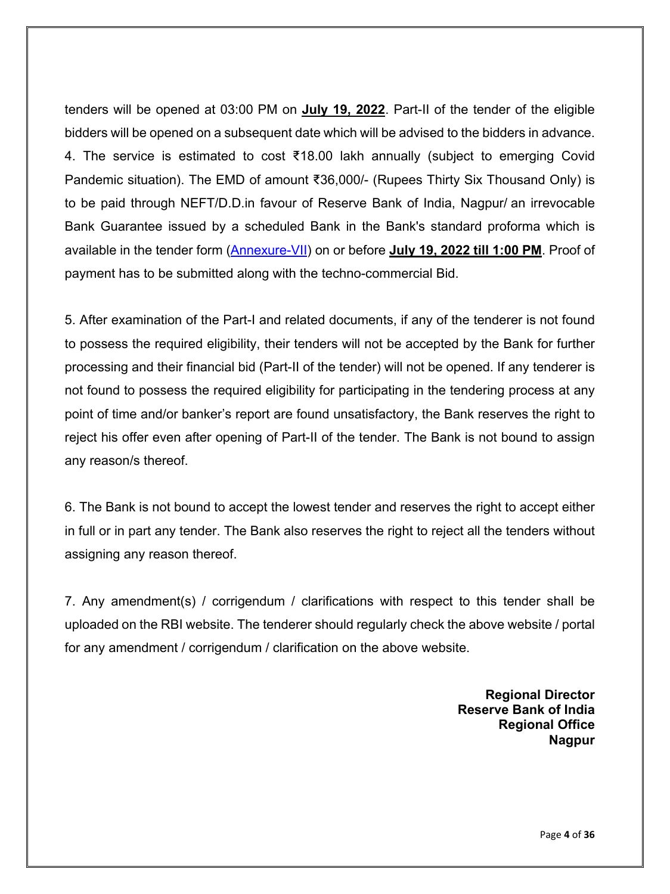tenders will be opened at 03:00 PM on **July 19, 2022**. Part-II of the tender of the eligible bidders will be opened on a subsequent date which will be advised to the bidders in advance. 4. The service is estimated to cost ₹18.00 lakh annually (subject to emerging Covid Pandemic situation). The EMD of amount ₹36,000/- (Rupees Thirty Six Thousand Only) is to be paid through NEFT/D.D.in favour of Reserve Bank of India, Nagpur/ an irrevocable Bank Guarantee issued by a scheduled Bank in the Bank's standard proforma which is available in the tender form [\(Annexure-VII\)](#page-35-0) on or before **July 19, 2022 till 1:00 PM**. Proof of payment has to be submitted along with the techno-commercial Bid.

5. After examination of the Part-I and related documents, if any of the tenderer is not found to possess the required eligibility, their tenders will not be accepted by the Bank for further processing and their financial bid (Part-II of the tender) will not be opened. If any tenderer is not found to possess the required eligibility for participating in the tendering process at any point of time and/or banker's report are found unsatisfactory, the Bank reserves the right to reject his offer even after opening of Part-II of the tender. The Bank is not bound to assign any reason/s thereof.

6. The Bank is not bound to accept the lowest tender and reserves the right to accept either in full or in part any tender. The Bank also reserves the right to reject all the tenders without assigning any reason thereof.

7. Any amendment(s) / corrigendum / clarifications with respect to this tender shall be uploaded on the RBI website. The tenderer should regularly check the above website / portal for any amendment / corrigendum / clarification on the above website.

> **Regional Director Reserve Bank of India Regional Office Nagpur**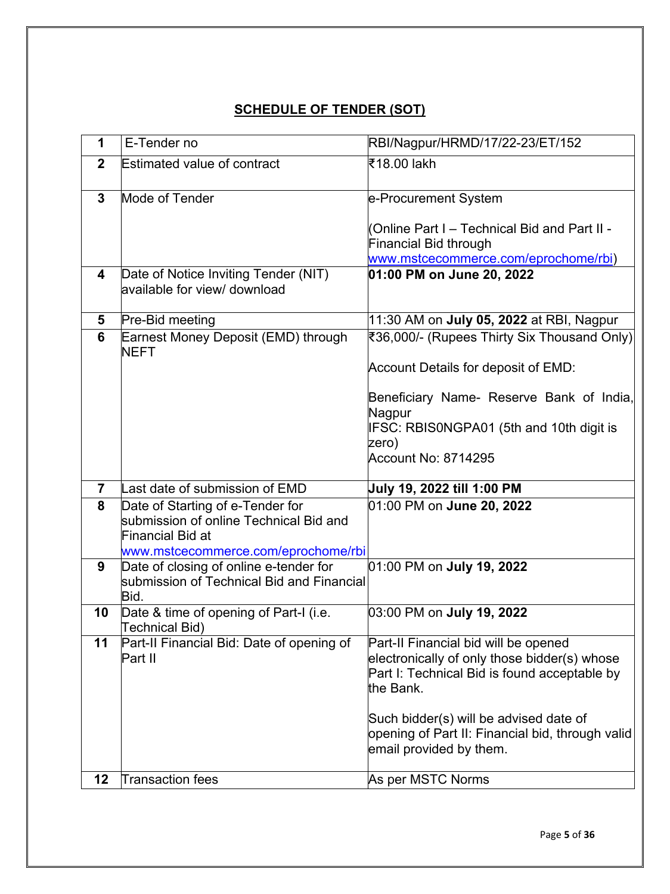# **SCHEDULE OF TENDER (SOT)**

| $\mathbf 1$     | E-Tender no                                                          | RBI/Nagpur/HRMD/17/22-23/ET/152                                                                                       |
|-----------------|----------------------------------------------------------------------|-----------------------------------------------------------------------------------------------------------------------|
| $\overline{2}$  | <b>Estimated value of contract</b>                                   | ₹18.00 lakh                                                                                                           |
| $\mathbf{3}$    | Mode of Tender                                                       | e-Procurement System                                                                                                  |
|                 |                                                                      | Online Part I – Technical Bid and Part II -<br>Financial Bid through<br>www.mstcecommerce.com/eprochome/rbi)          |
| 4               | Date of Notice Inviting Tender (NIT)<br>available for view/ download | 01:00 PM on June 20, 2022                                                                                             |
| 5               | Pre-Bid meeting                                                      | 11:30 AM on July 05, 2022 at RBI, Nagpur                                                                              |
| $6\phantom{1}6$ | Earnest Money Deposit (EMD) through<br><b>NEFT</b>                   | ₹36,000/- (Rupees Thirty Six Thousand Only)                                                                           |
|                 |                                                                      | Account Details for deposit of EMD:                                                                                   |
|                 |                                                                      | Beneficiary Name- Reserve Bank of India,                                                                              |
|                 |                                                                      | Nagpur                                                                                                                |
|                 |                                                                      | IFSC: RBIS0NGPA01 (5th and 10th digit is                                                                              |
|                 |                                                                      | zero)<br>Account No: 8714295                                                                                          |
|                 |                                                                      |                                                                                                                       |
| $\overline{7}$  | Last date of submission of EMD                                       | July 19, 2022 till 1:00 PM                                                                                            |
| 8               | Date of Starting of e-Tender for                                     | 01:00 PM on June 20, 2022                                                                                             |
|                 | submission of online Technical Bid and                               |                                                                                                                       |
|                 | Financial Bid at<br>www.mstcecommerce.com/eprochome/rbi              |                                                                                                                       |
| 9               | Date of closing of online e-tender for                               | 01:00 PM on July 19, 2022                                                                                             |
|                 | submission of Technical Bid and Financial                            |                                                                                                                       |
|                 | Bid.                                                                 |                                                                                                                       |
| 10              | Date & time of opening of Part-I (i.e.<br>Technical Bid)             | 03:00 PM on July 19, 2022                                                                                             |
| 11              | Part-II Financial Bid: Date of opening of<br>Part II                 | Part-II Financial bid will be opened<br>electronically of only those bidder(s) whose                                  |
|                 |                                                                      | Part I: Technical Bid is found acceptable by<br>the Bank.                                                             |
|                 |                                                                      | Such bidder(s) will be advised date of<br>opening of Part II: Financial bid, through valid<br>email provided by them. |
| 12              | <b>Transaction fees</b>                                              | As per MSTC Norms                                                                                                     |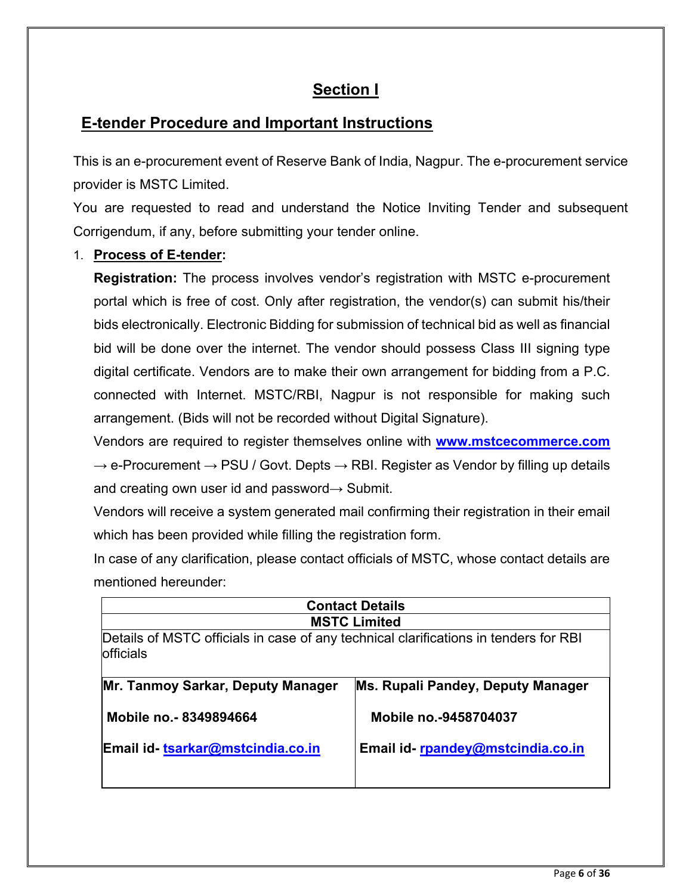# **Section I**

# **E-tender Procedure and Important Instructions**

This is an e-procurement event of Reserve Bank of India, Nagpur. The e-procurement service provider is MSTC Limited.

You are requested to read and understand the Notice Inviting Tender and subsequent Corrigendum, if any, before submitting your tender online.

### 1. **Process of E-tender:**

**Registration:** The process involves vendor's registration with MSTC e-procurement portal which is free of cost. Only after registration, the vendor(s) can submit his/their bids electronically. Electronic Bidding for submission of technical bid as well as financial bid will be done over the internet. The vendor should possess Class III signing type digital certificate. Vendors are to make their own arrangement for bidding from a P.C. connected with Internet. MSTC/RBI, Nagpur is not responsible for making such arrangement. (Bids will not be recorded without Digital Signature).

Vendors are required to register themselves online with **[www.mstcecommerce.com](https://www.mstcecommerce.com/)**  $\rightarrow$  e-Procurement  $\rightarrow$  PSU / Govt. Depts  $\rightarrow$  RBI. Register as Vendor by filling up details and creating own user id and password $\rightarrow$  Submit.

Vendors will receive a system generated mail confirming their registration in their email which has been provided while filling the registration form.

In case of any clarification, please contact officials of MSTC, whose contact details are mentioned hereunder:

| <b>Contact Details</b>                                                                            |                                   |  |
|---------------------------------------------------------------------------------------------------|-----------------------------------|--|
| <b>MSTC Limited</b>                                                                               |                                   |  |
| Details of MSTC officials in case of any technical clarifications in tenders for RBI<br>officials |                                   |  |
| Mr. Tanmoy Sarkar, Deputy Manager                                                                 | Ms. Rupali Pandey, Deputy Manager |  |
| Mobile no. - 8349894664                                                                           | Mobile no.-9458704037             |  |
| Email id-tsarkar@mstcindia.co.in                                                                  | Email id-rpandey@mstcindia.co.in  |  |
|                                                                                                   |                                   |  |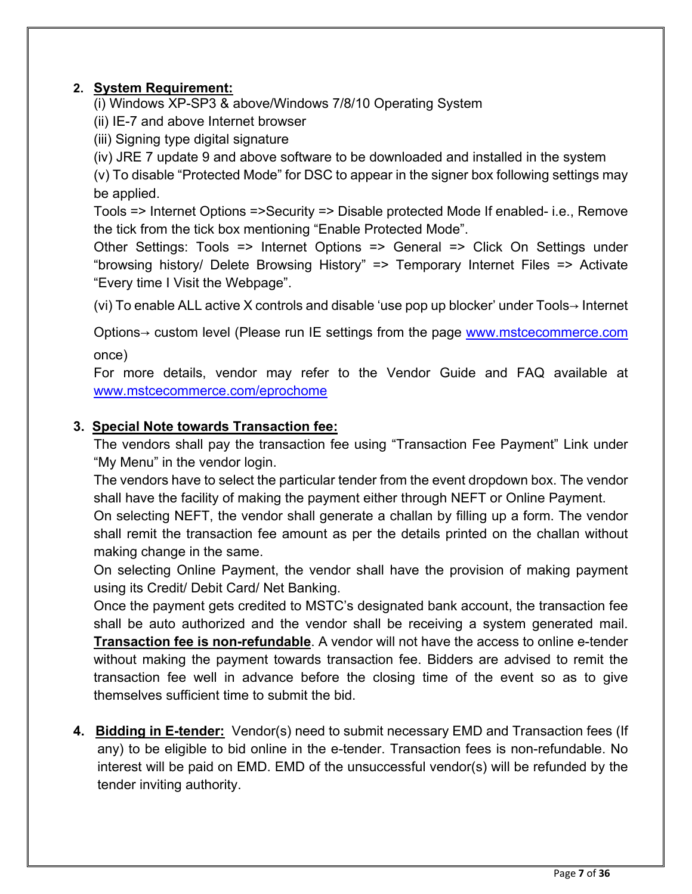## **2. System Requirement:**

(i) Windows XP-SP3 & above/Windows 7/8/10 Operating System

- (ii) IE-7 and above Internet browser
- (iii) Signing type digital signature
- (iv) JRE 7 update 9 and above software to be downloaded and installed in the system

(v) To disable "Protected Mode" for DSC to appear in the signer box following settings may be applied.

Tools => Internet Options =>Security => Disable protected Mode If enabled- i.e., Remove the tick from the tick box mentioning "Enable Protected Mode".

Other Settings: Tools => Internet Options => General => Click On Settings under "browsing history/ Delete Browsing History" => Temporary Internet Files => Activate "Every time I Visit the Webpage".

(vi) To enable ALL active X controls and disable 'use pop up blocker' under Tools→ Internet

Options→ custom level (Please run IE settings from the page [www.mstcecommerce.com](https://www.mstcecommerce.com/) once)

For more details, vendor may refer to the Vendor Guide and FAQ available at [www.mstcecommerce.com/eprochome](https://www.mstcecommerce.com/eprochome) 

### **3. Special Note towards Transaction fee:**

The vendors shall pay the transaction fee using "Transaction Fee Payment" Link under "My Menu" in the vendor login.

The vendors have to select the particular tender from the event dropdown box. The vendor shall have the facility of making the payment either through NEFT or Online Payment.

On selecting NEFT, the vendor shall generate a challan by filling up a form. The vendor shall remit the transaction fee amount as per the details printed on the challan without making change in the same.

On selecting Online Payment, the vendor shall have the provision of making payment using its Credit/ Debit Card/ Net Banking.

Once the payment gets credited to MSTC's designated bank account, the transaction fee shall be auto authorized and the vendor shall be receiving a system generated mail. **Transaction fee is non-refundable**. A vendor will not have the access to online e-tender without making the payment towards transaction fee. Bidders are advised to remit the transaction fee well in advance before the closing time of the event so as to give themselves sufficient time to submit the bid.

**4. Bidding in E-tender:** Vendor(s) need to submit necessary EMD and Transaction fees (If any) to be eligible to bid online in the e-tender. Transaction fees is non-refundable. No interest will be paid on EMD. EMD of the unsuccessful vendor(s) will be refunded by the tender inviting authority.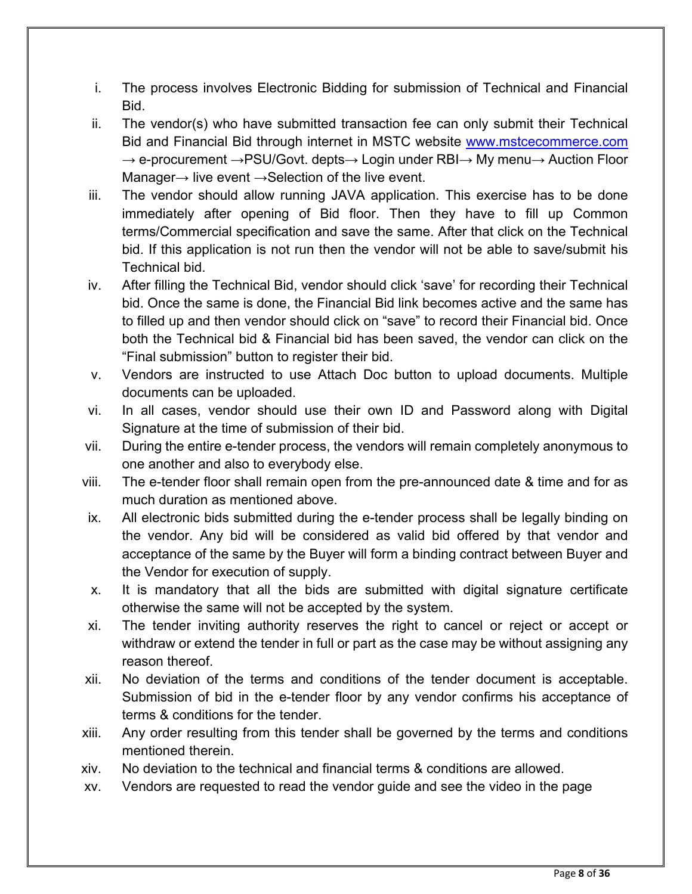- i. The process involves Electronic Bidding for submission of Technical and Financial Bid.
- ii. The vendor(s) who have submitted transaction fee can only submit their Technical Bid and Financial Bid through internet in MSTC website www.mstcecommerce.com  $\rightarrow$  e-procurement  $\rightarrow$  PSU/Govt. depts $\rightarrow$  Login under RBI $\rightarrow$  My menu $\rightarrow$  Auction Floor Manager $\rightarrow$  live event  $\rightarrow$  Selection of the live event.
- iii. The vendor should allow running JAVA application. This exercise has to be done immediately after opening of Bid floor. Then they have to fill up Common terms/Commercial specification and save the same. After that click on the Technical bid. If this application is not run then the vendor will not be able to save/submit his Technical bid.
- iv. After filling the Technical Bid, vendor should click 'save' for recording their Technical bid. Once the same is done, the Financial Bid link becomes active and the same has to filled up and then vendor should click on "save" to record their Financial bid. Once both the Technical bid & Financial bid has been saved, the vendor can click on the "Final submission" button to register their bid.
- v. Vendors are instructed to use Attach Doc button to upload documents. Multiple documents can be uploaded.
- vi. In all cases, vendor should use their own ID and Password along with Digital Signature at the time of submission of their bid.
- vii. During the entire e-tender process, the vendors will remain completely anonymous to one another and also to everybody else.
- viii. The e-tender floor shall remain open from the pre-announced date & time and for as much duration as mentioned above.
- ix. All electronic bids submitted during the e-tender process shall be legally binding on the vendor. Any bid will be considered as valid bid offered by that vendor and acceptance of the same by the Buyer will form a binding contract between Buyer and the Vendor for execution of supply.
- x. It is mandatory that all the bids are submitted with digital signature certificate otherwise the same will not be accepted by the system.
- xi. The tender inviting authority reserves the right to cancel or reject or accept or withdraw or extend the tender in full or part as the case may be without assigning any reason thereof.
- xii. No deviation of the terms and conditions of the tender document is acceptable. Submission of bid in the e-tender floor by any vendor confirms his acceptance of terms & conditions for the tender.
- xiii. Any order resulting from this tender shall be governed by the terms and conditions mentioned therein.
- xiv. No deviation to the technical and financial terms & conditions are allowed.
- xv. Vendors are requested to read the vendor guide and see the video in the page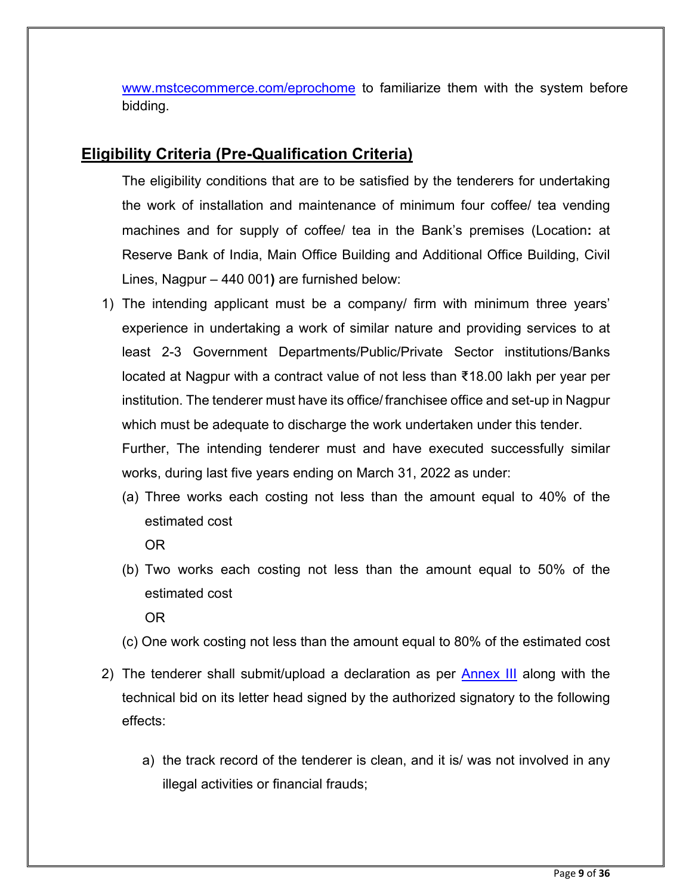[www.mstcecommerce.com/eprochome](https://www.mstcecommerce.com/eprochome) to familiarize them with the system before bidding.

## **Eligibility Criteria (Pre-Qualification Criteria)**

The eligibility conditions that are to be satisfied by the tenderers for undertaking the work of installation and maintenance of minimum four coffee/ tea vending machines and for supply of coffee/ tea in the Bank's premises (Location**:** at Reserve Bank of India, Main Office Building and Additional Office Building, Civil Lines, Nagpur – 440 001**)** are furnished below:

1) The intending applicant must be a company/ firm with minimum three years' experience in undertaking a work of similar nature and providing services to at least 2-3 Government Departments/Public/Private Sector institutions/Banks located at Nagpur with a contract value of not less than ₹18.00 lakh per year per institution. The tenderer must have its office/ franchisee office and set-up in Nagpur which must be adequate to discharge the work undertaken under this tender.

Further, The intending tenderer must and have executed successfully similar works, during last five years ending on March 31, 2022 as under:

(a) Three works each costing not less than the amount equal to 40% of the estimated cost

OR

(b) Two works each costing not less than the amount equal to 50% of the estimated cost

OR

- (c) One work costing not less than the amount equal to 80% of the estimated cost
- 2) The tenderer shall submit/upload a declaration as per **Annex III** along with the technical bid on its letter head signed by the authorized signatory to the following effects:
	- a) the track record of the tenderer is clean, and it is/ was not involved in any illegal activities or financial frauds;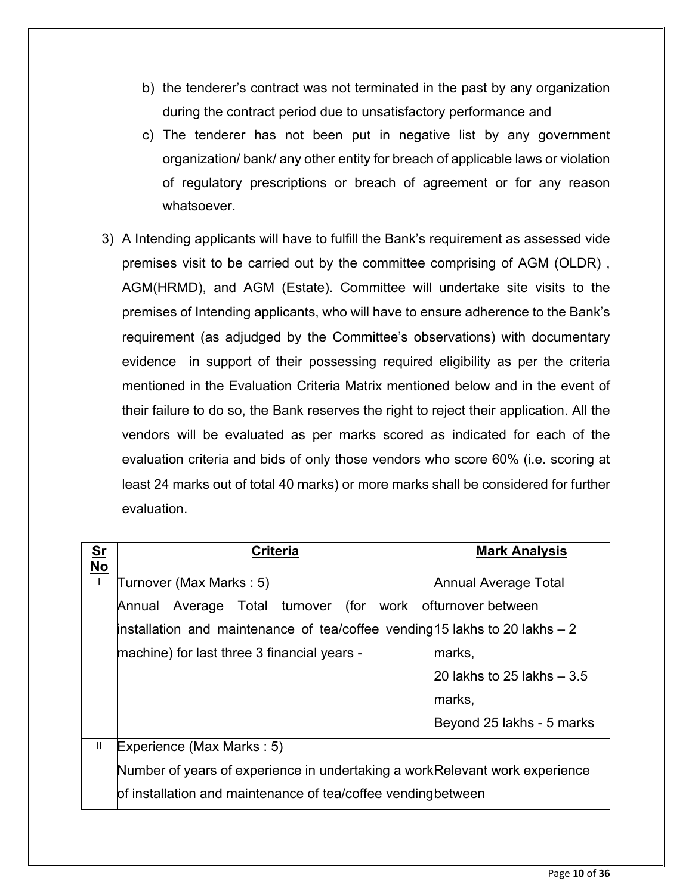- b) the tenderer's contract was not terminated in the past by any organization during the contract period due to unsatisfactory performance and
- c) The tenderer has not been put in negative list by any government organization/ bank/ any other entity for breach of applicable laws or violation of regulatory prescriptions or breach of agreement or for any reason whatsoever.
- 3) A Intending applicants will have to fulfill the Bank's requirement as assessed vide premises visit to be carried out by the committee comprising of AGM (OLDR) , AGM(HRMD), and AGM (Estate). Committee will undertake site visits to the premises of Intending applicants, who will have to ensure adherence to the Bank's requirement (as adjudged by the Committee's observations) with documentary evidence in support of their possessing required eligibility as per the criteria mentioned in the Evaluation Criteria Matrix mentioned below and in the event of their failure to do so, the Bank reserves the right to reject their application. All the vendors will be evaluated as per marks scored as indicated for each of the evaluation criteria and bids of only those vendors who score 60% (i.e. scoring at least 24 marks out of total 40 marks) or more marks shall be considered for further evaluation.

| $Sr$<br><b>No</b> | <b>Criteria</b>                                                              | <b>Mark Analysis</b>        |
|-------------------|------------------------------------------------------------------------------|-----------------------------|
| Ι.                | Turnover (Max Marks: 5)                                                      | Annual Average Total        |
|                   | Annual Average Total turnover (for work ofturnover between                   |                             |
|                   | installation and maintenance of tea/coffee vending 15 lakhs to 20 lakhs $-2$ |                             |
|                   | machine) for last three 3 financial years -                                  | marks,                      |
|                   |                                                                              | 20 lakhs to 25 lakhs $-3.5$ |
|                   |                                                                              | marks,                      |
|                   |                                                                              | Beyond 25 lakhs - 5 marks   |
| Ш                 | Experience (Max Marks: 5)                                                    |                             |
|                   | Number of years of experience in undertaking a work Relevant work experience |                             |
|                   | of installation and maintenance of tea/coffee vending between                |                             |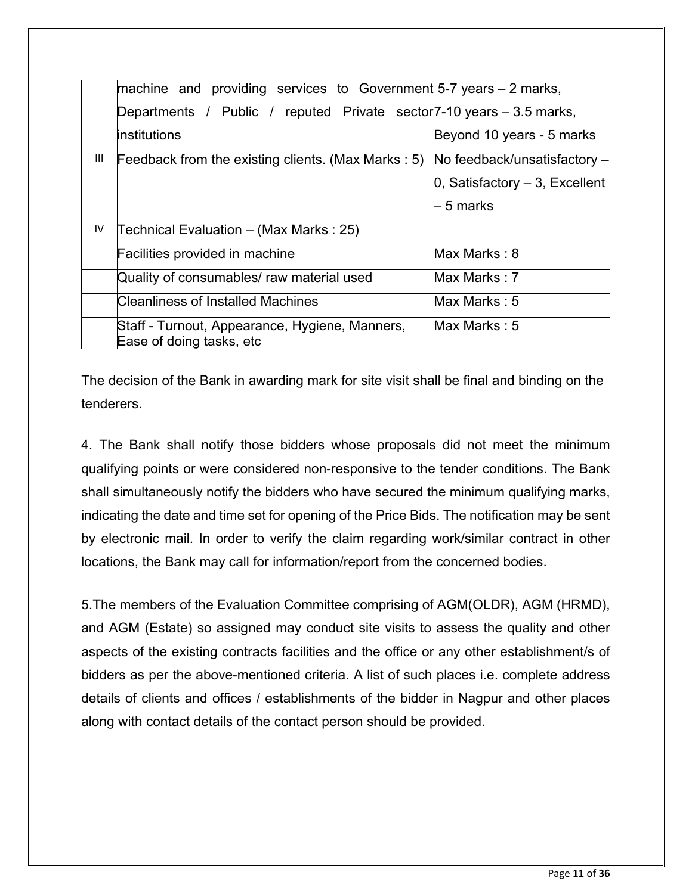|    | machine and providing services to Government $5-7$ years $-2$ marks,              |                                     |
|----|-----------------------------------------------------------------------------------|-------------------------------------|
|    | Departments / Public / reputed Private sector <sup>7</sup> -10 years – 3.5 marks, |                                     |
|    | linstitutions                                                                     | Beyond 10 years - 5 marks           |
| Ш  | Feedback from the existing clients. (Max Marks : 5)                               | No feedback/unsatisfactory -        |
|    |                                                                                   | $0$ , Satisfactory $-3$ , Excellent |
|    |                                                                                   | – 5 marks                           |
| IV | Technical Evaluation – (Max Marks : 25)                                           |                                     |
|    | Facilities provided in machine                                                    | Max Marks: 8                        |
|    | Quality of consumables/ raw material used                                         | Max Marks : 7                       |
|    | Cleanliness of Installed Machines                                                 | Max Marks: $5$                      |
|    | Staff - Turnout, Appearance, Hygiene, Manners,<br>Ease of doing tasks, etc        | Max Marks : 5                       |

The decision of the Bank in awarding mark for site visit shall be final and binding on the tenderers.

4. The Bank shall notify those bidders whose proposals did not meet the minimum qualifying points or were considered non-responsive to the tender conditions. The Bank shall simultaneously notify the bidders who have secured the minimum qualifying marks, indicating the date and time set for opening of the Price Bids. The notification may be sent by electronic mail. In order to verify the claim regarding work/similar contract in other locations, the Bank may call for information/report from the concerned bodies.

5.The members of the Evaluation Committee comprising of AGM(OLDR), AGM (HRMD), and AGM (Estate) so assigned may conduct site visits to assess the quality and other aspects of the existing contracts facilities and the office or any other establishment/s of bidders as per the above-mentioned criteria. A list of such places i.e. complete address details of clients and offices / establishments of the bidder in Nagpur and other places along with contact details of the contact person should be provided.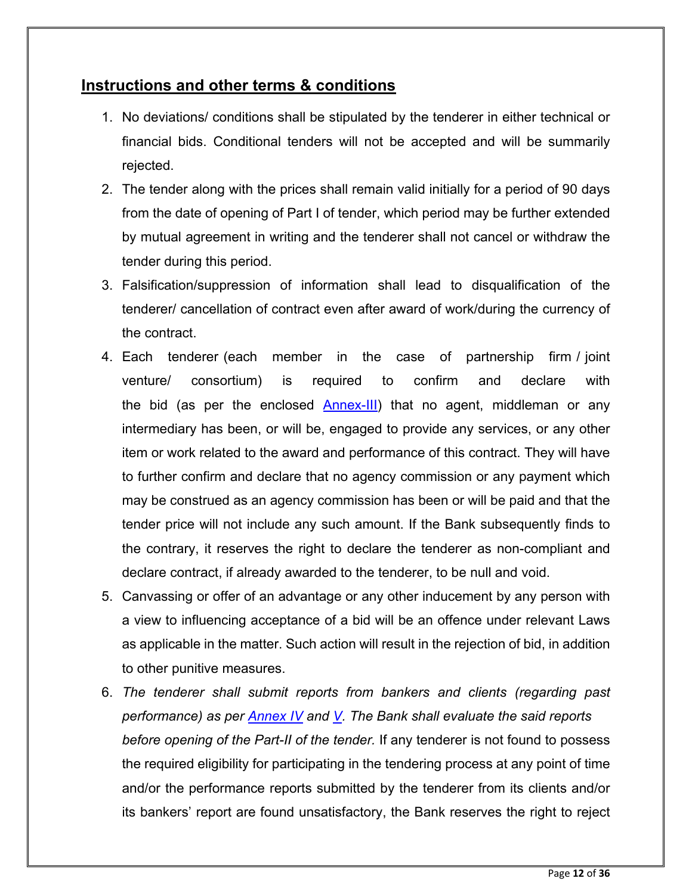## **Instructions and other terms & conditions**

- 1. No deviations/ conditions shall be stipulated by the tenderer in either technical or financial bids. Conditional tenders will not be accepted and will be summarily rejected.
- 2. The tender along with the prices shall remain valid initially for a period of 90 days from the date of opening of Part I of tender, which period may be further extended by mutual agreement in writing and the tenderer shall not cancel or withdraw the tender during this period.
- 3. Falsification/suppression of information shall lead to disqualification of the tenderer/ cancellation of contract even after award of work/during the currency of the contract.
- 4. Each tenderer (each member in the case of partnership firm / joint venture/ consortium) is required to confirm and declare with the bid (as per the enclosed [Annex-III\)](#page-29-0) that no agent, middleman or any intermediary has been, or will be, engaged to provide any services, or any other item or work related to the award and performance of this contract. They will have to further confirm and declare that no agency commission or any payment which may be construed as an agency commission has been or will be paid and that the tender price will not include any such amount. If the Bank subsequently finds to the contrary, it reserves the right to declare the tenderer as non-compliant and declare contract, if already awarded to the tenderer, to be null and void.
- 5. Canvassing or offer of an advantage or any other inducement by any person with a view to influencing acceptance of a bid will be an offence under relevant Laws as applicable in the matter. Such action will result in the rejection of bid, in addition to other punitive measures.
- 6. *The tenderer shall submit reports from bankers and clients (regarding past performance) as per [Annex IV](#page-30-0) and [V.](#page-31-0) The Bank shall evaluate the said reports before opening of the Part-II of the tender.* If any tenderer is not found to possess the required eligibility for participating in the tendering process at any point of time and/or the performance reports submitted by the tenderer from its clients and/or its bankers' report are found unsatisfactory, the Bank reserves the right to reject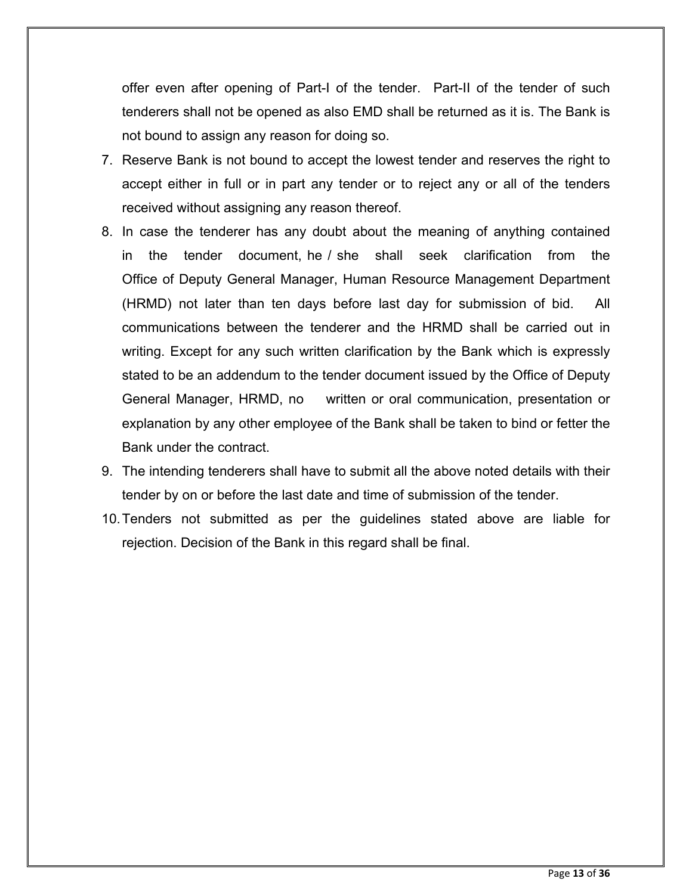offer even after opening of Part-I of the tender. Part-II of the tender of such tenderers shall not be opened as also EMD shall be returned as it is. The Bank is not bound to assign any reason for doing so.

- 7. Reserve Bank is not bound to accept the lowest tender and reserves the right to accept either in full or in part any tender or to reject any or all of the tenders received without assigning any reason thereof.
- 8. In case the tenderer has any doubt about the meaning of anything contained in the tender document, he / she shall seek clarification from the Office of Deputy General Manager, Human Resource Management Department (HRMD) not later than ten days before last day for submission of bid. All communications between the tenderer and the HRMD shall be carried out in writing. Except for any such written clarification by the Bank which is expressly stated to be an addendum to the tender document issued by the Office of Deputy General Manager, HRMD, no written or oral communication, presentation or explanation by any other employee of the Bank shall be taken to bind or fetter the Bank under the contract.
- 9. The intending tenderers shall have to submit all the above noted details with their tender by on or before the last date and time of submission of the tender.
- 10.Tenders not submitted as per the guidelines stated above are liable for rejection. Decision of the Bank in this regard shall be final.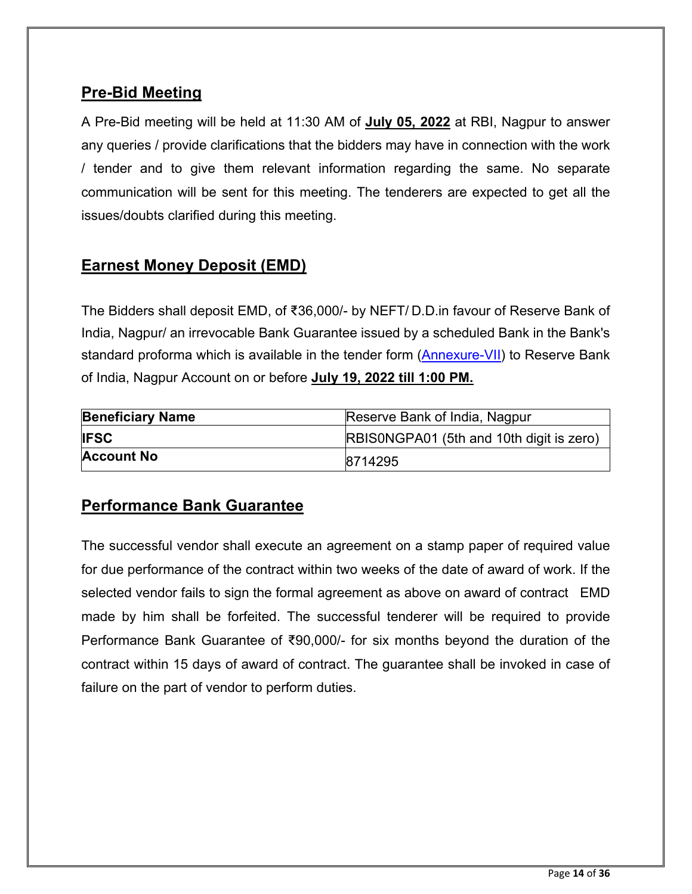# **Pre-Bid Meeting**

A Pre-Bid meeting will be held at 11:30 AM of **July 05, 2022** at RBI, Nagpur to answer any queries / provide clarifications that the bidders may have in connection with the work / tender and to give them relevant information regarding the same. No separate communication will be sent for this meeting. The tenderers are expected to get all the issues/doubts clarified during this meeting.

## **Earnest Money Deposit (EMD)**

The Bidders shall deposit EMD, of ₹36,000/- by NEFT/ D.D.in favour of Reserve Bank of India, Nagpur/ an irrevocable Bank Guarantee issued by a scheduled Bank in the Bank's standard proforma which is available in the tender form [\(Annexure-VII\)](#page-35-1) to Reserve Bank of India, Nagpur Account on or before **July 19, 2022 till 1:00 PM.**

| <b>Beneficiary Name</b> | Reserve Bank of India, Nagpur            |
|-------------------------|------------------------------------------|
| <b>IFSC</b>             | RBISONGPA01 (5th and 10th digit is zero) |
| <b>Account No</b>       | 8714295                                  |

# **Performance Bank Guarantee**

The successful vendor shall execute an agreement on a stamp paper of required value for due performance of the contract within two weeks of the date of award of work. If the selected vendor fails to sign the formal agreement as above on award of contract EMD made by him shall be forfeited. The successful tenderer will be required to provide Performance Bank Guarantee of ₹90,000/- for six months beyond the duration of the contract within 15 days of award of contract. The guarantee shall be invoked in case of failure on the part of vendor to perform duties.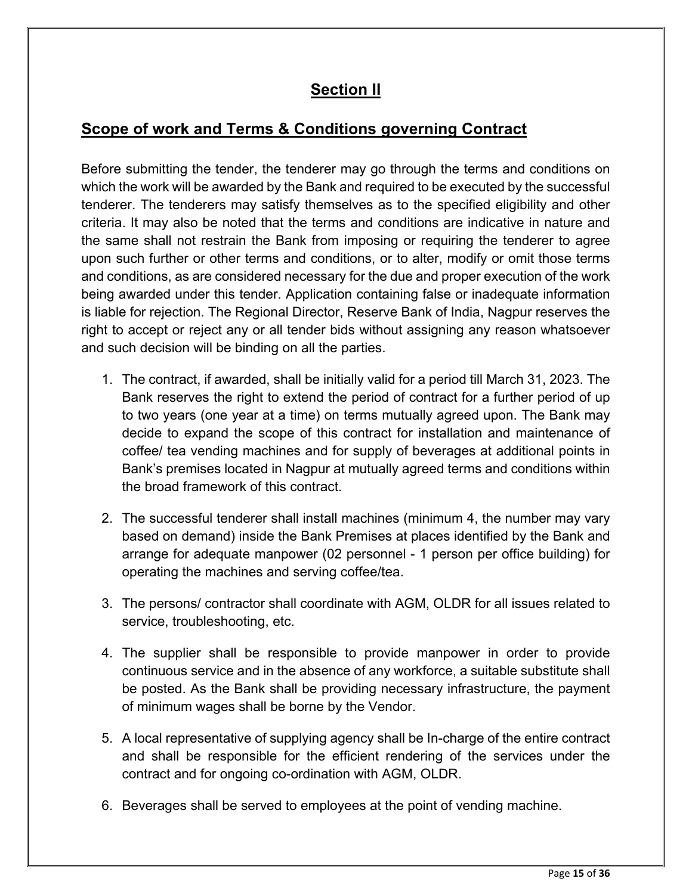# **Section II**

# **Scope of work and Terms & Conditions governing Contract**

Before submitting the tender, the tenderer may go through the terms and conditions on which the work will be awarded by the Bank and required to be executed by the successful tenderer. The tenderers may satisfy themselves as to the specified eligibility and other criteria. It may also be noted that the terms and conditions are indicative in nature and the same shall not restrain the Bank from imposing or requiring the tenderer to agree upon such further or other terms and conditions, or to alter, modify or omit those terms and conditions, as are considered necessary for the due and proper execution of the work being awarded under this tender. Application containing false or inadequate information is liable for rejection. The Regional Director, Reserve Bank of India, Nagpur reserves the right to accept or reject any or all tender bids without assigning any reason whatsoever and such decision will be binding on all the parties.

- 1. The contract, if awarded, shall be initially valid for a period till March 31, 2023. The Bank reserves the right to extend the period of contract for a further period of up to two years (one year at a time) on terms mutually agreed upon. The Bank may decide to expand the scope of this contract for installation and maintenance of coffee/ tea vending machines and for supply of beverages at additional points in Bank's premises located in Nagpur at mutually agreed terms and conditions within the broad framework of this contract.
- 2. The successful tenderer shall install machines (minimum 4, the number may vary based on demand) inside the Bank Premises at places identified by the Bank and arrange for adequate manpower (02 personnel - 1 person per office building) for operating the machines and serving coffee/tea.
- 3. The persons/ contractor shall coordinate with AGM, OLDR for all issues related to service, troubleshooting, etc.
- 4. The supplier shall be responsible to provide manpower in order to provide continuous service and in the absence of any workforce, a suitable substitute shall be posted. As the Bank shall be providing necessary infrastructure, the payment of minimum wages shall be borne by the Vendor.
- 5. A local representative of supplying agency shall be In-charge of the entire contract and shall be responsible for the efficient rendering of the services under the contract and for ongoing co-ordination with AGM, OLDR.
- 6. Beverages shall be served to employees at the point of vending machine.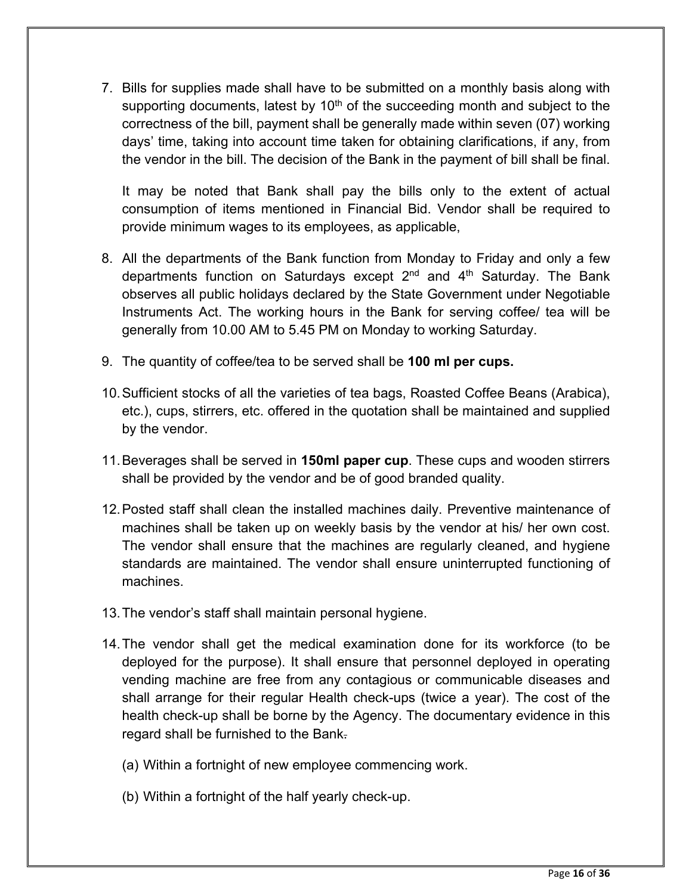7. Bills for supplies made shall have to be submitted on a monthly basis along with supporting documents, latest by  $10<sup>th</sup>$  of the succeeding month and subject to the correctness of the bill, payment shall be generally made within seven (07) working days' time, taking into account time taken for obtaining clarifications, if any, from the vendor in the bill. The decision of the Bank in the payment of bill shall be final.

It may be noted that Bank shall pay the bills only to the extent of actual consumption of items mentioned in Financial Bid. Vendor shall be required to provide minimum wages to its employees, as applicable,

- 8. All the departments of the Bank function from Monday to Friday and only a few departments function on Saturdays except  $2^{nd}$  and  $4^{th}$  Saturday. The Bank observes all public holidays declared by the State Government under Negotiable Instruments Act. The working hours in the Bank for serving coffee/ tea will be generally from 10.00 AM to 5.45 PM on Monday to working Saturday.
- 9. The quantity of coffee/tea to be served shall be **100 ml per cups.**
- 10.Sufficient stocks of all the varieties of tea bags, Roasted Coffee Beans (Arabica), etc.), cups, stirrers, etc. offered in the quotation shall be maintained and supplied by the vendor.
- 11.Beverages shall be served in **150ml paper cup**. These cups and wooden stirrers shall be provided by the vendor and be of good branded quality.
- 12.Posted staff shall clean the installed machines daily. Preventive maintenance of machines shall be taken up on weekly basis by the vendor at his/ her own cost. The vendor shall ensure that the machines are regularly cleaned, and hygiene standards are maintained. The vendor shall ensure uninterrupted functioning of machines.
- 13.The vendor's staff shall maintain personal hygiene.
- 14.The vendor shall get the medical examination done for its workforce (to be deployed for the purpose). It shall ensure that personnel deployed in operating vending machine are free from any contagious or communicable diseases and shall arrange for their regular Health check-ups (twice a year). The cost of the health check-up shall be borne by the Agency. The documentary evidence in this regard shall be furnished to the Bank.
	- (a) Within a fortnight of new employee commencing work.
	- (b) Within a fortnight of the half yearly check-up.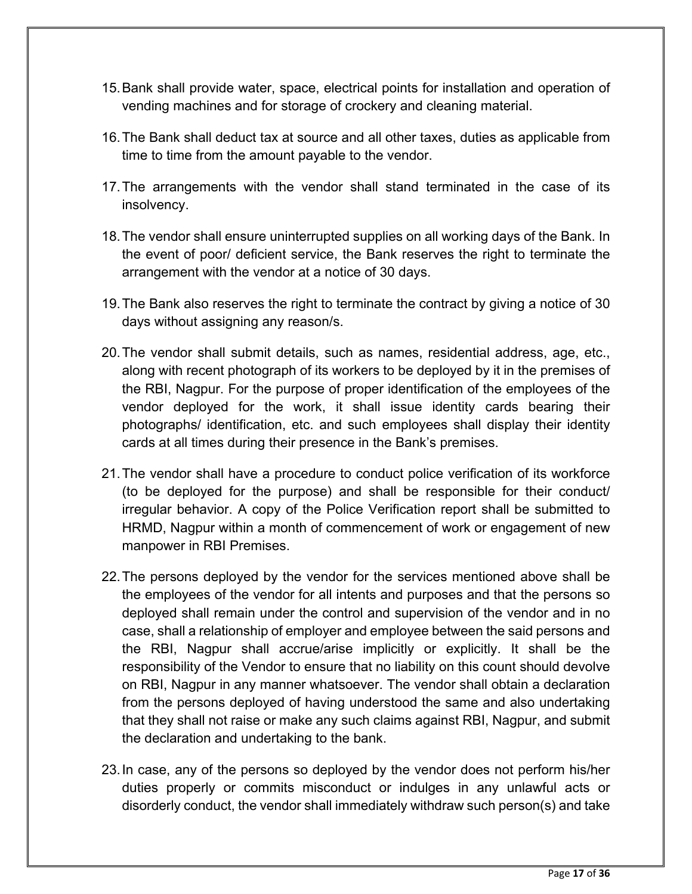- 15.Bank shall provide water, space, electrical points for installation and operation of vending machines and for storage of crockery and cleaning material.
- 16.The Bank shall deduct tax at source and all other taxes, duties as applicable from time to time from the amount payable to the vendor.
- 17.The arrangements with the vendor shall stand terminated in the case of its insolvency.
- 18.The vendor shall ensure uninterrupted supplies on all working days of the Bank. In the event of poor/ deficient service, the Bank reserves the right to terminate the arrangement with the vendor at a notice of 30 days.
- 19.The Bank also reserves the right to terminate the contract by giving a notice of 30 days without assigning any reason/s.
- 20.The vendor shall submit details, such as names, residential address, age, etc., along with recent photograph of its workers to be deployed by it in the premises of the RBI, Nagpur. For the purpose of proper identification of the employees of the vendor deployed for the work, it shall issue identity cards bearing their photographs/ identification, etc. and such employees shall display their identity cards at all times during their presence in the Bank's premises.
- 21.The vendor shall have a procedure to conduct police verification of its workforce (to be deployed for the purpose) and shall be responsible for their conduct/ irregular behavior. A copy of the Police Verification report shall be submitted to HRMD, Nagpur within a month of commencement of work or engagement of new manpower in RBI Premises.
- 22.The persons deployed by the vendor for the services mentioned above shall be the employees of the vendor for all intents and purposes and that the persons so deployed shall remain under the control and supervision of the vendor and in no case, shall a relationship of employer and employee between the said persons and the RBI, Nagpur shall accrue/arise implicitly or explicitly. It shall be the responsibility of the Vendor to ensure that no liability on this count should devolve on RBI, Nagpur in any manner whatsoever. The vendor shall obtain a declaration from the persons deployed of having understood the same and also undertaking that they shall not raise or make any such claims against RBI, Nagpur, and submit the declaration and undertaking to the bank.
- 23.In case, any of the persons so deployed by the vendor does not perform his/her duties properly or commits misconduct or indulges in any unlawful acts or disorderly conduct, the vendor shall immediately withdraw such person(s) and take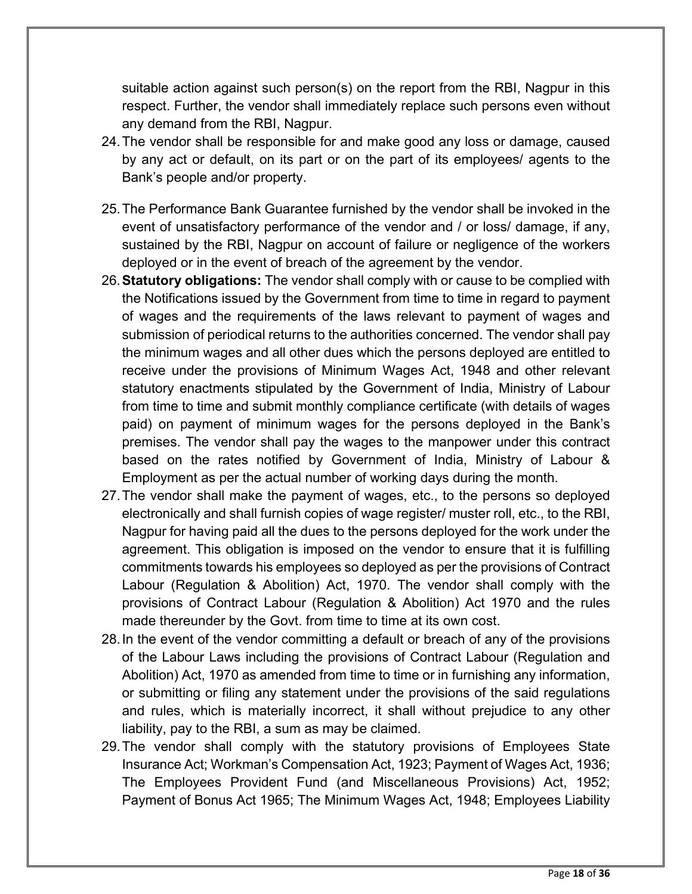suitable action against such person(s) on the report from the RBI, Nagpur in this respect. Further, the vendor shall immediately replace such persons even without any demand from the RBI, Nagpur.

- 24.The vendor shall be responsible for and make good any loss or damage, caused by any act or default, on its part or on the part of its employees/ agents to the Bank's people and/or property.
- 25.The Performance Bank Guarantee furnished by the vendor shall be invoked in the event of unsatisfactory performance of the vendor and / or loss/ damage, if any, sustained by the RBI, Nagpur on account of failure or negligence of the workers deployed or in the event of breach of the agreement by the vendor.
- 26.**Statutory obligations:** The vendor shall comply with or cause to be complied with the Notifications issued by the Government from time to time in regard to payment of wages and the requirements of the laws relevant to payment of wages and submission of periodical returns to the authorities concerned. The vendor shall pay the minimum wages and all other dues which the persons deployed are entitled to receive under the provisions of Minimum Wages Act, 1948 and other relevant statutory enactments stipulated by the Government of India, Ministry of Labour from time to time and submit monthly compliance certificate (with details of wages paid) on payment of minimum wages for the persons deployed in the Bank's premises. The vendor shall pay the wages to the manpower under this contract based on the rates notified by Government of India, Ministry of Labour & Employment as per the actual number of working days during the month.
- 27.The vendor shall make the payment of wages, etc., to the persons so deployed electronically and shall furnish copies of wage register/ muster roll, etc., to the RBI, Nagpur for having paid all the dues to the persons deployed for the work under the agreement. This obligation is imposed on the vendor to ensure that it is fulfilling commitments towards his employees so deployed as per the provisions of Contract Labour (Regulation & Abolition) Act, 1970. The vendor shall comply with the provisions of Contract Labour (Regulation & Abolition) Act 1970 and the rules made thereunder by the Govt. from time to time at its own cost.
- 28.In the event of the vendor committing a default or breach of any of the provisions of the Labour Laws including the provisions of Contract Labour (Regulation and Abolition) Act, 1970 as amended from time to time or in furnishing any information, or submitting or filing any statement under the provisions of the said regulations and rules, which is materially incorrect, it shall without prejudice to any other liability, pay to the RBI, a sum as may be claimed.
- 29.The vendor shall comply with the statutory provisions of Employees State Insurance Act; Workman's Compensation Act, 1923; Payment of Wages Act, 1936; The Employees Provident Fund (and Miscellaneous Provisions) Act, 1952; Payment of Bonus Act 1965; The Minimum Wages Act, 1948; Employees Liability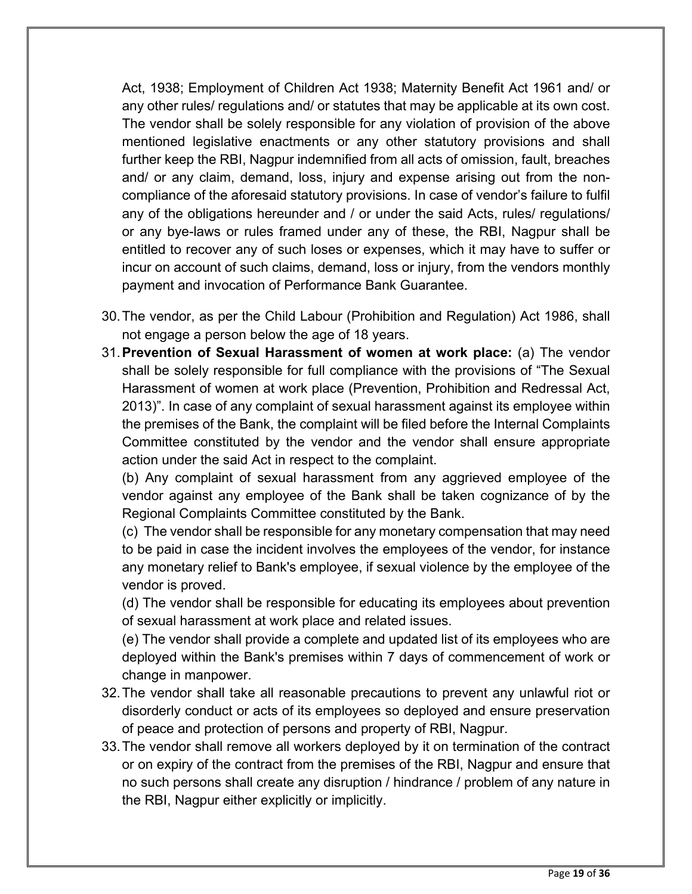Act, 1938; Employment of Children Act 1938; Maternity Benefit Act 1961 and/ or any other rules/ regulations and/ or statutes that may be applicable at its own cost. The vendor shall be solely responsible for any violation of provision of the above mentioned legislative enactments or any other statutory provisions and shall further keep the RBI, Nagpur indemnified from all acts of omission, fault, breaches and/ or any claim, demand, loss, injury and expense arising out from the noncompliance of the aforesaid statutory provisions. In case of vendor's failure to fulfil any of the obligations hereunder and / or under the said Acts, rules/ regulations/ or any bye-laws or rules framed under any of these, the RBI, Nagpur shall be entitled to recover any of such loses or expenses, which it may have to suffer or incur on account of such claims, demand, loss or injury, from the vendors monthly payment and invocation of Performance Bank Guarantee.

- 30.The vendor, as per the Child Labour (Prohibition and Regulation) Act 1986, shall not engage a person below the age of 18 years.
- 31.**Prevention of Sexual Harassment of women at work place:** (a) The vendor shall be solely responsible for full compliance with the provisions of "The Sexual Harassment of women at work place (Prevention, Prohibition and Redressal Act, 2013)". In case of any complaint of sexual harassment against its employee within the premises of the Bank, the complaint will be filed before the Internal Complaints Committee constituted by the vendor and the vendor shall ensure appropriate action under the said Act in respect to the complaint.

(b) Any complaint of sexual harassment from any aggrieved employee of the vendor against any employee of the Bank shall be taken cognizance of by the Regional Complaints Committee constituted by the Bank.

(c) The vendor shall be responsible for any monetary compensation that may need to be paid in case the incident involves the employees of the vendor, for instance any monetary relief to Bank's employee, if sexual violence by the employee of the vendor is proved.

(d) The vendor shall be responsible for educating its employees about prevention of sexual harassment at work place and related issues.

(e) The vendor shall provide a complete and updated list of its employees who are deployed within the Bank's premises within 7 days of commencement of work or change in manpower.

- 32.The vendor shall take all reasonable precautions to prevent any unlawful riot or disorderly conduct or acts of its employees so deployed and ensure preservation of peace and protection of persons and property of RBI, Nagpur.
- 33.The vendor shall remove all workers deployed by it on termination of the contract or on expiry of the contract from the premises of the RBI, Nagpur and ensure that no such persons shall create any disruption / hindrance / problem of any nature in the RBI, Nagpur either explicitly or implicitly.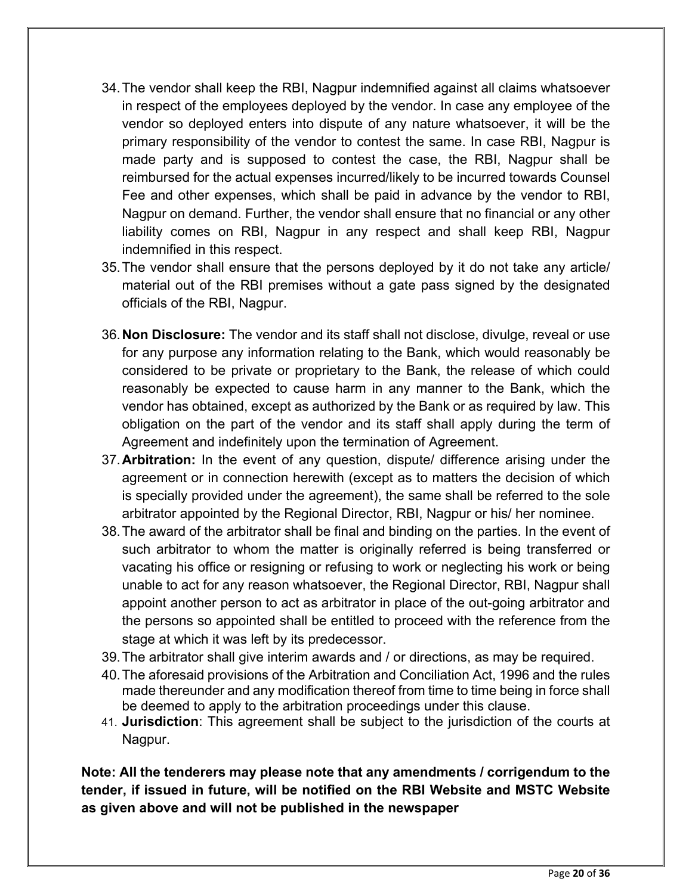- 34.The vendor shall keep the RBI, Nagpur indemnified against all claims whatsoever in respect of the employees deployed by the vendor. In case any employee of the vendor so deployed enters into dispute of any nature whatsoever, it will be the primary responsibility of the vendor to contest the same. In case RBI, Nagpur is made party and is supposed to contest the case, the RBI, Nagpur shall be reimbursed for the actual expenses incurred/likely to be incurred towards Counsel Fee and other expenses, which shall be paid in advance by the vendor to RBI, Nagpur on demand. Further, the vendor shall ensure that no financial or any other liability comes on RBI, Nagpur in any respect and shall keep RBI, Nagpur indemnified in this respect.
- 35.The vendor shall ensure that the persons deployed by it do not take any article/ material out of the RBI premises without a gate pass signed by the designated officials of the RBI, Nagpur.
- 36.**Non Disclosure:** The vendor and its staff shall not disclose, divulge, reveal or use for any purpose any information relating to the Bank, which would reasonably be considered to be private or proprietary to the Bank, the release of which could reasonably be expected to cause harm in any manner to the Bank, which the vendor has obtained, except as authorized by the Bank or as required by law. This obligation on the part of the vendor and its staff shall apply during the term of Agreement and indefinitely upon the termination of Agreement.
- 37.**Arbitration:** In the event of any question, dispute/ difference arising under the agreement or in connection herewith (except as to matters the decision of which is specially provided under the agreement), the same shall be referred to the sole arbitrator appointed by the Regional Director, RBI, Nagpur or his/ her nominee.
- 38.The award of the arbitrator shall be final and binding on the parties. In the event of such arbitrator to whom the matter is originally referred is being transferred or vacating his office or resigning or refusing to work or neglecting his work or being unable to act for any reason whatsoever, the Regional Director, RBI, Nagpur shall appoint another person to act as arbitrator in place of the out-going arbitrator and the persons so appointed shall be entitled to proceed with the reference from the stage at which it was left by its predecessor.
- 39.The arbitrator shall give interim awards and / or directions, as may be required.
- 40. The aforesaid provisions of the Arbitration and Conciliation Act, 1996 and the rules made thereunder and any modification thereof from time to time being in force shall be deemed to apply to the arbitration proceedings under this clause.
- 41. **Jurisdiction**: This agreement shall be subject to the jurisdiction of the courts at Nagpur.

**Note: All the tenderers may please note that any amendments / corrigendum to the tender, if issued in future, will be notified on the RBI Website and MSTC Website as given above and will not be published in the newspaper**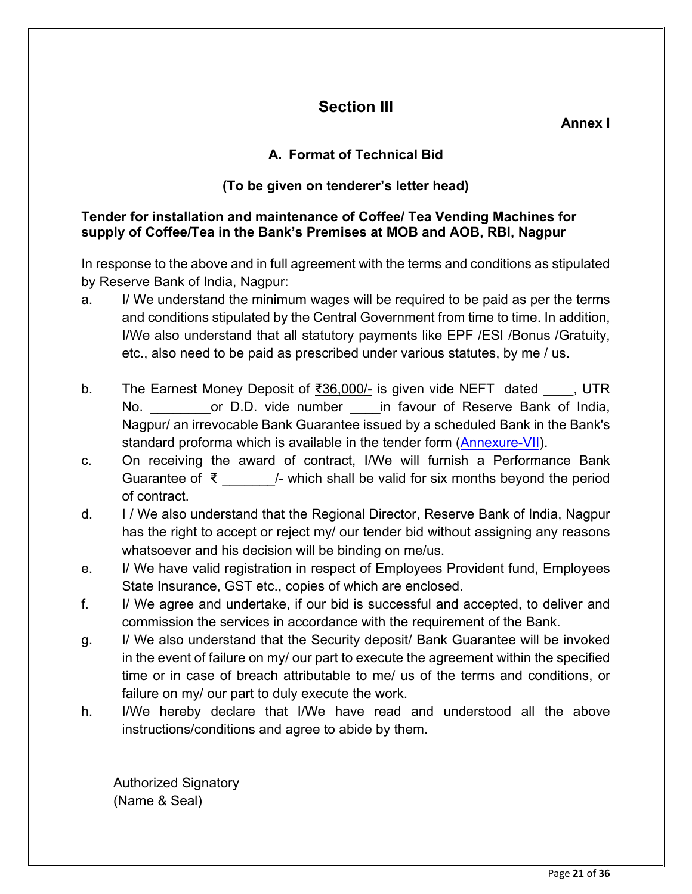# **Section III**

**Annex I** 

## **A. Format of Technical Bid**

## **(To be given on tenderer's letter head)**

### **Tender for installation and maintenance of Coffee/ Tea Vending Machines for supply of Coffee/Tea in the Bank's Premises at MOB and AOB, RBI, Nagpur**

In response to the above and in full agreement with the terms and conditions as stipulated by Reserve Bank of India, Nagpur:

- a. I/ We understand the minimum wages will be required to be paid as per the terms and conditions stipulated by the Central Government from time to time. In addition, I/We also understand that all statutory payments like EPF /ESI /Bonus /Gratuity, etc., also need to be paid as prescribed under various statutes, by me / us.
- b. The Earnest Money Deposit of  $\frac{36,000}{1}$  is given vide NEFT dated  $\qquad$ , UTR No. The D.D. vide number in favour of Reserve Bank of India, Nagpur/ an irrevocable Bank Guarantee issued by a scheduled Bank in the Bank's standard proforma which is available in the tender form [\(Annexure-VII\)](#page-35-1).
- c. On receiving the award of contract, I/We will furnish a Performance Bank Guarantee of ₹  $\frac{1}{2}$  /- which shall be valid for six months beyond the period of contract.
- d. I / We also understand that the Regional Director, Reserve Bank of India, Nagpur has the right to accept or reject my/ our tender bid without assigning any reasons whatsoever and his decision will be binding on me/us.
- e. I/ We have valid registration in respect of Employees Provident fund, Employees State Insurance, GST etc., copies of which are enclosed.
- f. I/ We agree and undertake, if our bid is successful and accepted, to deliver and commission the services in accordance with the requirement of the Bank.
- g. I/ We also understand that the Security deposit/ Bank Guarantee will be invoked in the event of failure on my/ our part to execute the agreement within the specified time or in case of breach attributable to me/ us of the terms and conditions, or failure on my/ our part to duly execute the work.
- h. I/We hereby declare that I/We have read and understood all the above instructions/conditions and agree to abide by them.

Authorized Signatory (Name & Seal)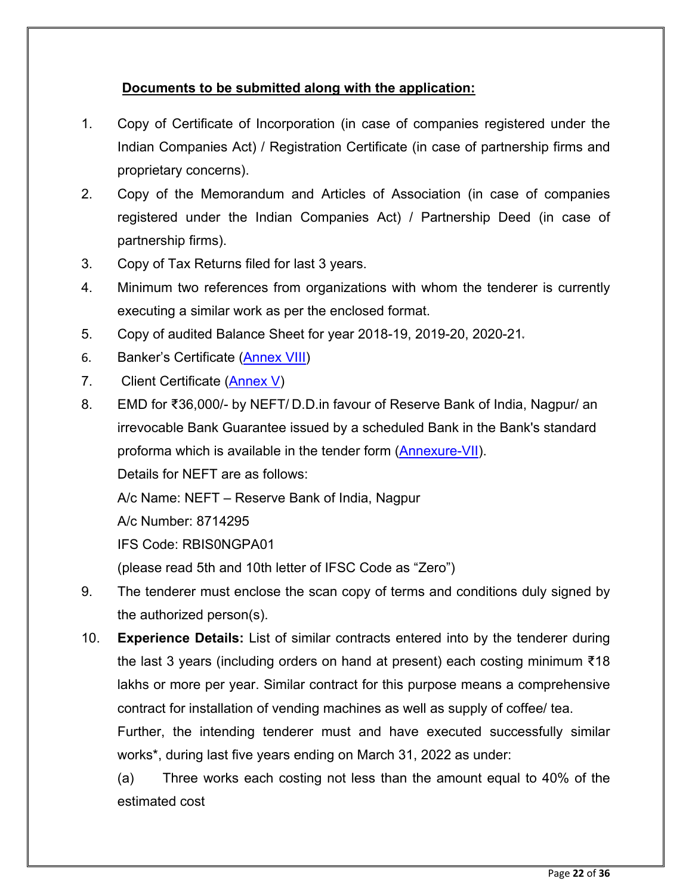## **Documents to be submitted along with the application:**

- 1. Copy of Certificate of Incorporation (in case of companies registered under the Indian Companies Act) / Registration Certificate (in case of partnership firms and proprietary concerns).
- 2. Copy of the Memorandum and Articles of Association (in case of companies registered under the Indian Companies Act) / Partnership Deed (in case of partnership firms).
- 3. Copy of Tax Returns filed for last 3 years.
- 4. Minimum two references from organizations with whom the tenderer is currently executing a similar work as per the enclosed format.
- 5. Copy of audited Balance Sheet for year 2018-19, 2019-20, 2020-21.
- 6. Banker's Certificate [\(Annex VIII\)](#page-37-0)
- 7. Client Certificate [\(Annex V\)](#page-31-0)
- 8. EMD for ₹36,000/- by NEFT/ D.D.in favour of Reserve Bank of India, Nagpur/ an irrevocable Bank Guarantee issued by a scheduled Bank in the Bank's standard proforma which is available in the tender form [\(Annexure-VII\)](#page-35-1).

Details for NEFT are as follows:

A/c Name: NEFT – Reserve Bank of India, Nagpur

A/c Number: 8714295

IFS Code: RBIS0NGPA01

(please read 5th and 10th letter of IFSC Code as "Zero")

- 9. The tenderer must enclose the scan copy of terms and conditions duly signed by the authorized person(s).
- 10. **Experience Details:** List of similar contracts entered into by the tenderer during the last 3 years (including orders on hand at present) each costing minimum ₹18 lakhs or more per year. Similar contract for this purpose means a comprehensive contract for installation of vending machines as well as supply of coffee/ tea.

Further, the intending tenderer must and have executed successfully similar works\*, during last five years ending on March 31, 2022 as under:

(a) Three works each costing not less than the amount equal to 40% of the estimated cost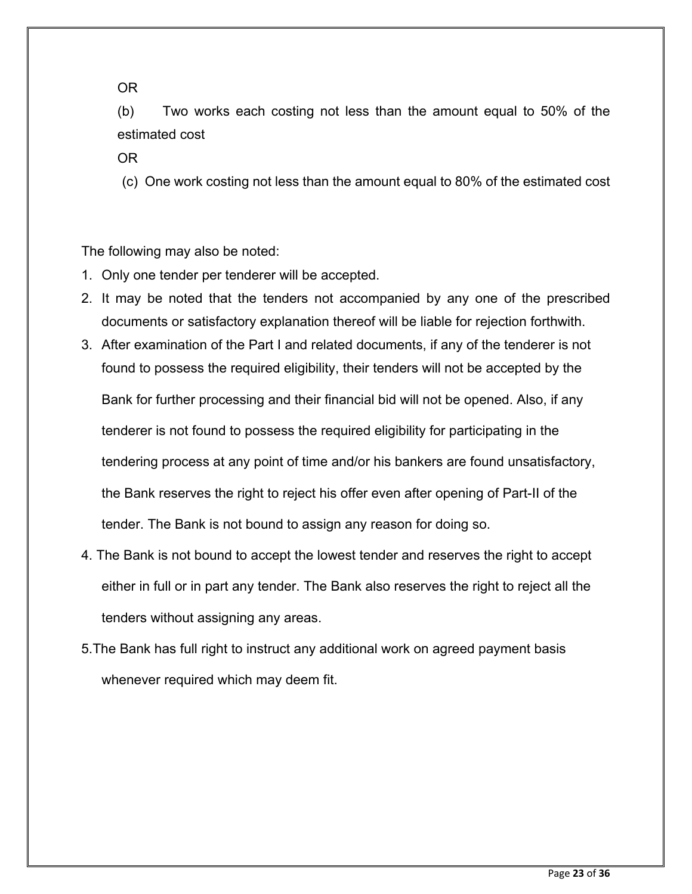OR

(b) Two works each costing not less than the amount equal to 50% of the estimated cost

OR

(c) One work costing not less than the amount equal to 80% of the estimated cost

The following may also be noted:

- 1. Only one tender per tenderer will be accepted.
- 2. It may be noted that the tenders not accompanied by any one of the prescribed documents or satisfactory explanation thereof will be liable for rejection forthwith.
- 3. After examination of the Part I and related documents, if any of the tenderer is not found to possess the required eligibility, their tenders will not be accepted by the Bank for further processing and their financial bid will not be opened. Also, if any tenderer is not found to possess the required eligibility for participating in the tendering process at any point of time and/or his bankers are found unsatisfactory, the Bank reserves the right to reject his offer even after opening of Part-II of the tender. The Bank is not bound to assign any reason for doing so.
- 4. The Bank is not bound to accept the lowest tender and reserves the right to accept either in full or in part any tender. The Bank also reserves the right to reject all the tenders without assigning any areas.
- 5.The Bank has full right to instruct any additional work on agreed payment basis whenever required which may deem fit.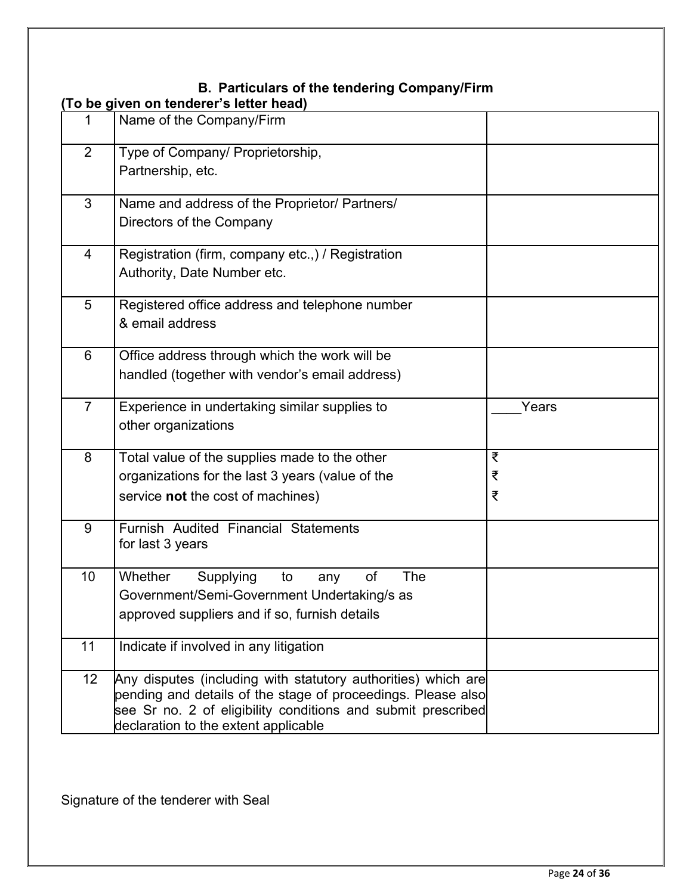# **B. Particulars of the tendering Company/Firm**

|                | To be given on tenderer's letter head)                        |       |
|----------------|---------------------------------------------------------------|-------|
| 1              | Name of the Company/Firm                                      |       |
| 2              | Type of Company/ Proprietorship,                              |       |
|                | Partnership, etc.                                             |       |
| 3              | Name and address of the Proprietor/ Partners/                 |       |
|                | Directors of the Company                                      |       |
| $\overline{4}$ | Registration (firm, company etc.,) / Registration             |       |
|                | Authority, Date Number etc.                                   |       |
| 5              | Registered office address and telephone number                |       |
|                | & email address                                               |       |
| 6              | Office address through which the work will be                 |       |
|                | handled (together with vendor's email address)                |       |
| $\overline{7}$ | Experience in undertaking similar supplies to                 | Years |
|                | other organizations                                           |       |
| 8              | Total value of the supplies made to the other                 | ₹     |
|                | organizations for the last 3 years (value of the              | ₹     |
|                | service not the cost of machines)                             | ₹     |
| 9              | Furnish Audited Financial Statements                          |       |
|                | for last 3 years                                              |       |
| 10             | Whether<br>of<br>The<br>Supplying<br>to<br>any                |       |
|                | Government/Semi-Government Undertaking/s as                   |       |
|                | approved suppliers and if so, furnish details                 |       |
| 11             | Indicate if involved in any litigation                        |       |
| 12             | Any disputes (including with statutory authorities) which are |       |
|                | pending and details of the stage of proceedings. Please also  |       |
|                | see Sr no. 2 of eligibility conditions and submit prescribed  |       |
|                | declaration to the extent applicable                          |       |

Signature of the tenderer with Seal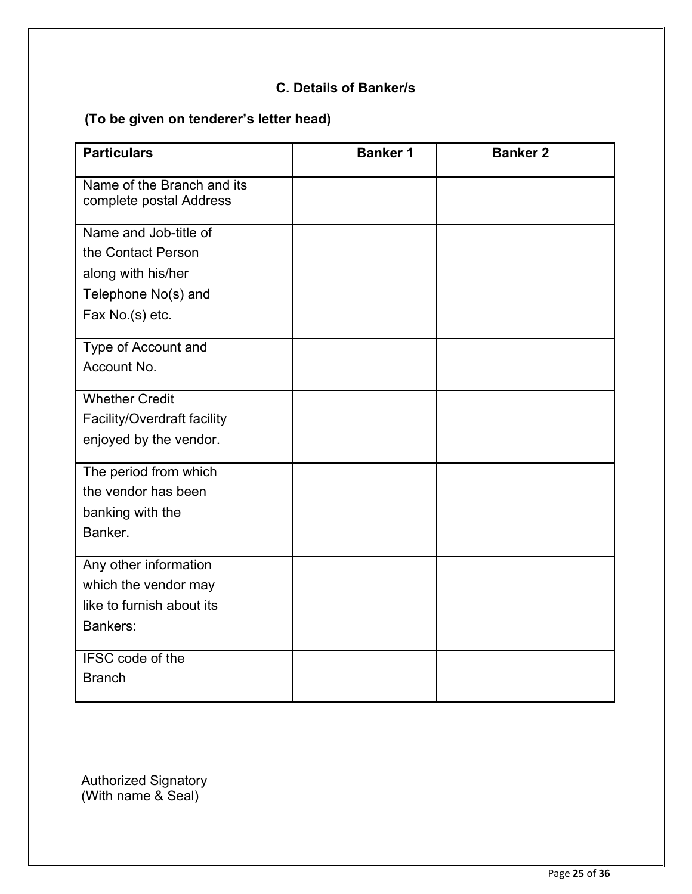## **C. Details of Banker/s**

# **(To be given on tenderer's letter head)**

| <b>Particulars</b>                                    | <b>Banker 1</b> | <b>Banker 2</b> |
|-------------------------------------------------------|-----------------|-----------------|
| Name of the Branch and its<br>complete postal Address |                 |                 |
| Name and Job-title of                                 |                 |                 |
| the Contact Person                                    |                 |                 |
| along with his/her                                    |                 |                 |
| Telephone No(s) and                                   |                 |                 |
| Fax No.(s) etc.                                       |                 |                 |
| Type of Account and                                   |                 |                 |
| Account No.                                           |                 |                 |
| <b>Whether Credit</b>                                 |                 |                 |
| Facility/Overdraft facility                           |                 |                 |
| enjoyed by the vendor.                                |                 |                 |
| The period from which                                 |                 |                 |
| the vendor has been                                   |                 |                 |
| banking with the                                      |                 |                 |
| Banker.                                               |                 |                 |
| Any other information                                 |                 |                 |
| which the vendor may                                  |                 |                 |
| like to furnish about its                             |                 |                 |
| Bankers:                                              |                 |                 |
| IFSC code of the                                      |                 |                 |
| <b>Branch</b>                                         |                 |                 |

Authorized Signatory (With name & Seal)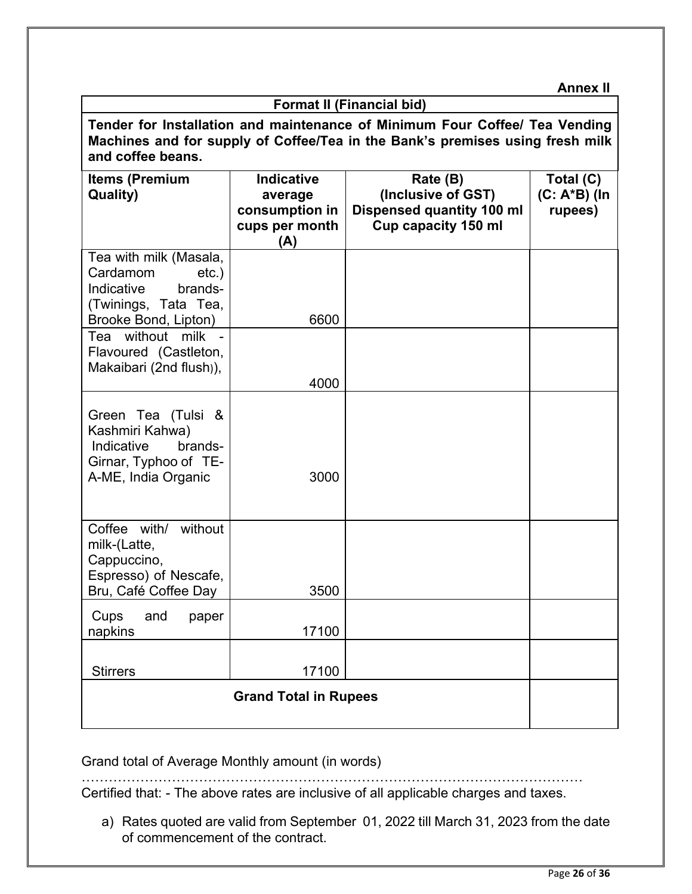**Annex II**

| <b>Format II (Financial bid)</b>                                                                                                                                                  |                                                                         |                                                                                                  |                                      |
|-----------------------------------------------------------------------------------------------------------------------------------------------------------------------------------|-------------------------------------------------------------------------|--------------------------------------------------------------------------------------------------|--------------------------------------|
| Tender for Installation and maintenance of Minimum Four Coffee/ Tea Vending<br>Machines and for supply of Coffee/Tea in the Bank's premises using fresh milk<br>and coffee beans. |                                                                         |                                                                                                  |                                      |
| <b>Items (Premium</b><br>Quality)                                                                                                                                                 | <b>Indicative</b><br>average<br>consumption in<br>cups per month<br>(A) | Rate (B)<br>(Inclusive of GST)<br><b>Dispensed quantity 100 ml</b><br><b>Cup capacity 150 ml</b> | Total (C)<br>(C: A*B) (In<br>rupees) |
| Tea with milk (Masala,<br>Cardamom<br>$etc.$ )<br>Indicative<br>brands-<br>(Twinings, Tata Tea,<br>Brooke Bond, Lipton)                                                           | 6600                                                                    |                                                                                                  |                                      |
| Tea without milk -<br>Flavoured (Castleton,<br>Makaibari (2nd flush)),                                                                                                            | 4000                                                                    |                                                                                                  |                                      |
| Green Tea (Tulsi &<br>Kashmiri Kahwa)<br>Indicative<br>brands-<br>Girnar, Typhoo of TE-<br>A-ME, India Organic                                                                    | 3000                                                                    |                                                                                                  |                                      |
| Coffee with/<br>without<br>milk-(Latte,<br>Cappuccino,<br>Espresso) of Nescafe,<br>Bru, Café Coffee Day                                                                           | 3500                                                                    |                                                                                                  |                                      |
| Cups<br>and<br>paper<br>napkins                                                                                                                                                   | 17100                                                                   |                                                                                                  |                                      |
| <b>Stirrers</b>                                                                                                                                                                   | 17100                                                                   |                                                                                                  |                                      |
|                                                                                                                                                                                   |                                                                         |                                                                                                  |                                      |
|                                                                                                                                                                                   |                                                                         |                                                                                                  |                                      |

Grand total of Average Monthly amount (in words)

………………………………………………………………………………………………… Certified that: - The above rates are inclusive of all applicable charges and taxes.

a) Rates quoted are valid from September 01, 2022 till March 31, 2023 from the date of commencement of the contract.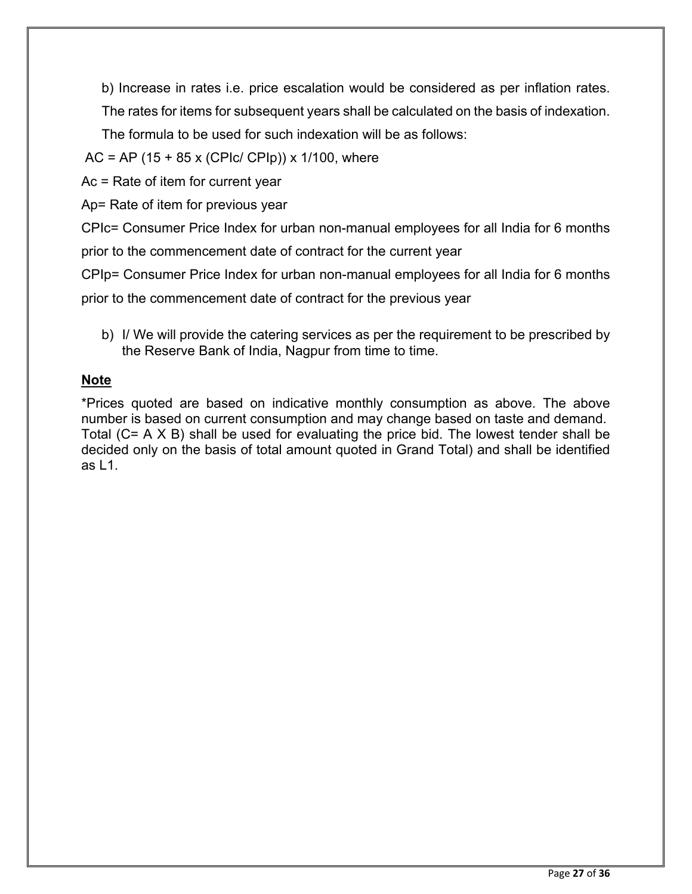b) Increase in rates i.e. price escalation would be considered as per inflation rates.

The rates for items for subsequent years shall be calculated on the basis of indexation.

The formula to be used for such indexation will be as follows:

 $AC = AP (15 + 85 x (CPIc / CPIp)) x 1/100$ , where

Ac = Rate of item for current year

Ap= Rate of item for previous year

CPIc= Consumer Price Index for urban non-manual employees for all India for 6 months

prior to the commencement date of contract for the current year

CPIp= Consumer Price Index for urban non-manual employees for all India for 6 months

prior to the commencement date of contract for the previous year

b) I/ We will provide the catering services as per the requirement to be prescribed by the Reserve Bank of India, Nagpur from time to time.

### **Note**

\*Prices quoted are based on indicative monthly consumption as above. The above number is based on current consumption and may change based on taste and demand. Total (C= A X B) shall be used for evaluating the price bid. The lowest tender shall be decided only on the basis of total amount quoted in Grand Total) and shall be identified as  $\vert 1 \vert$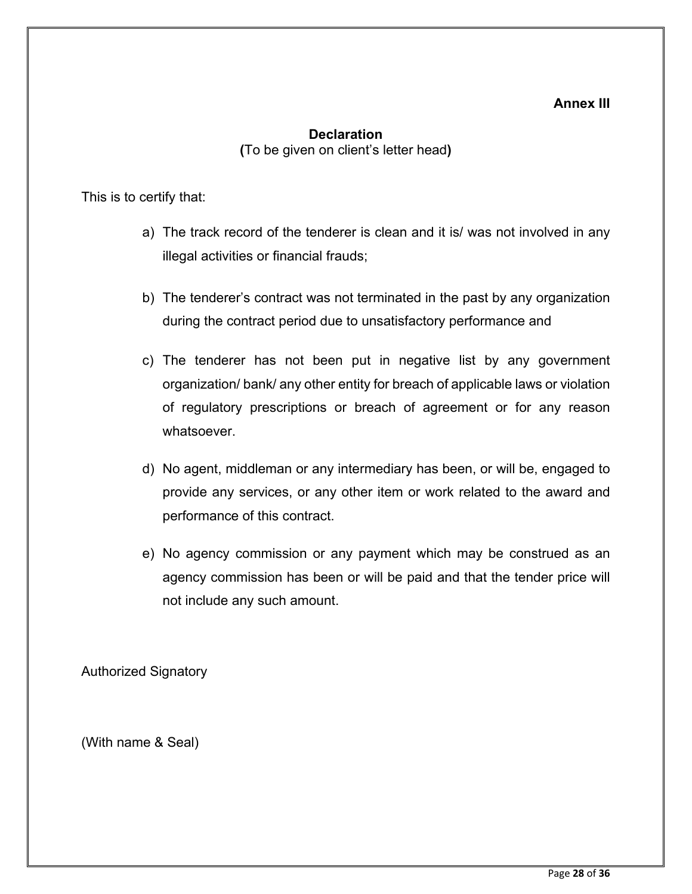#### **Annex III**

### **Declaration (**To be given on client's letter head**)**

<span id="page-29-0"></span>This is to certify that:

- a) The track record of the tenderer is clean and it is/ was not involved in any illegal activities or financial frauds;
- b) The tenderer's contract was not terminated in the past by any organization during the contract period due to unsatisfactory performance and
- c) The tenderer has not been put in negative list by any government organization/ bank/ any other entity for breach of applicable laws or violation of regulatory prescriptions or breach of agreement or for any reason whatsoever.
- d) No agent, middleman or any intermediary has been, or will be, engaged to provide any services, or any other item or work related to the award and performance of this contract.
- e) No agency commission or any payment which may be construed as an agency commission has been or will be paid and that the tender price will not include any such amount.

Authorized Signatory

(With name & Seal)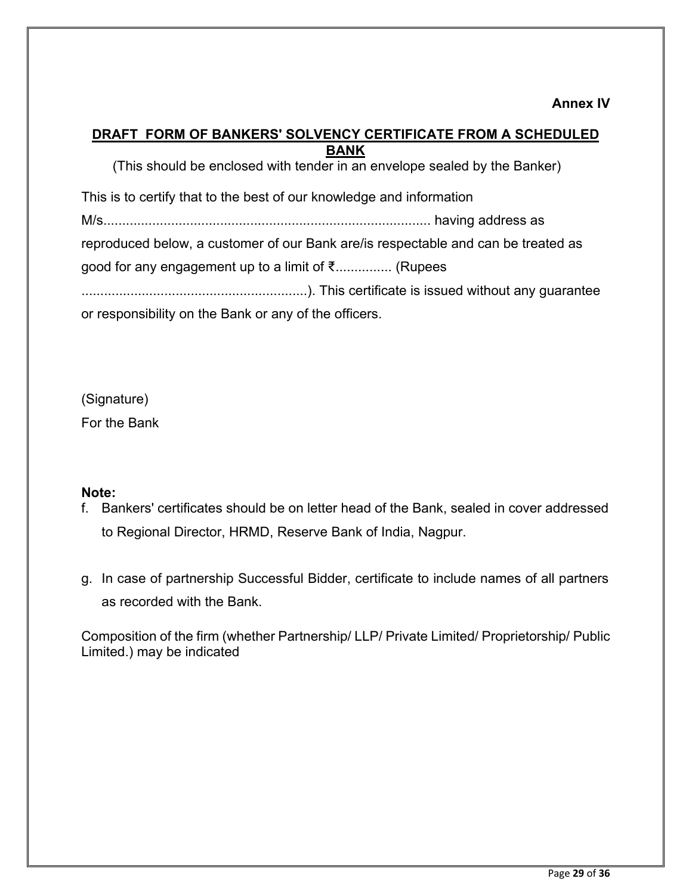#### <span id="page-30-0"></span>**DRAFT FORM OF BANKERS' SOLVENCY CERTIFICATE FROM A SCHEDULED BANK**

(This should be enclosed with tender in an envelope sealed by the Banker) This is to certify that to the best of our knowledge and information M/s....................................................................................... having address as reproduced below, a customer of our Bank are/is respectable and can be treated as good for any engagement up to a limit of ₹............... (Rupees ............................................................). This certificate is issued without any guarantee or responsibility on the Bank or any of the officers.

(Signature)

For the Bank

### **Note:**

- f. Bankers' certificates should be on letter head of the Bank, sealed in cover addressed to Regional Director, HRMD, Reserve Bank of India, Nagpur.
- g. In case of partnership Successful Bidder, certificate to include names of all partners as recorded with the Bank.

Composition of the firm (whether Partnership/ LLP/ Private Limited/ Proprietorship/ Public Limited.) may be indicated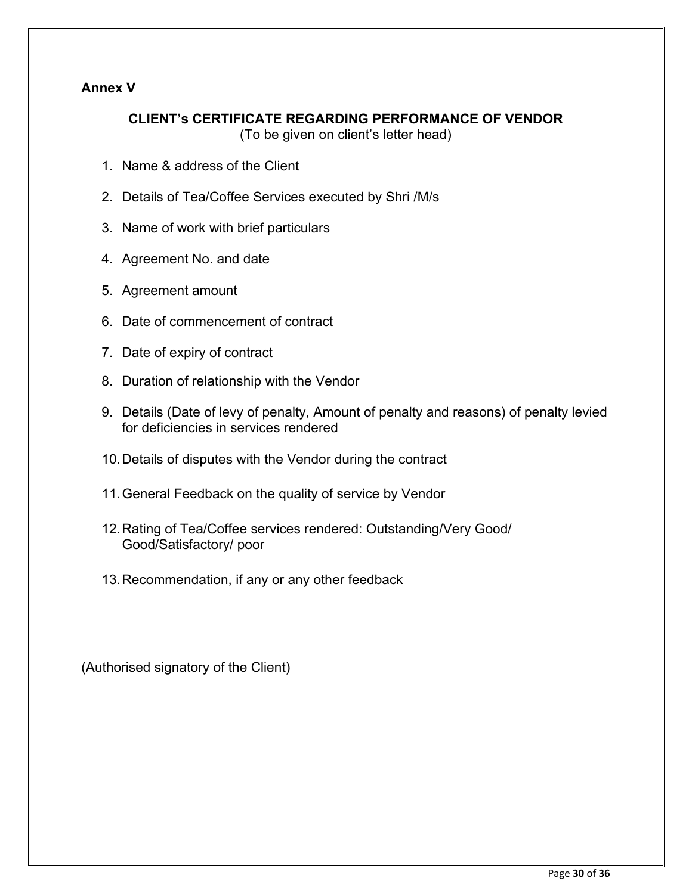### <span id="page-31-0"></span>**Annex V**

# **CLIENT's CERTIFICATE REGARDING PERFORMANCE OF VENDOR**

(To be given on client's letter head)

- 1. Name & address of the Client
- 2. Details of Tea/Coffee Services executed by Shri /M/s
- 3. Name of work with brief particulars
- 4. Agreement No. and date
- 5. Agreement amount
- 6. Date of commencement of contract
- 7. Date of expiry of contract
- 8. Duration of relationship with the Vendor
- 9. Details (Date of levy of penalty, Amount of penalty and reasons) of penalty levied for deficiencies in services rendered
- 10.Details of disputes with the Vendor during the contract
- 11.General Feedback on the quality of service by Vendor
- 12.Rating of Tea/Coffee services rendered: Outstanding/Very Good/ Good/Satisfactory/ poor
- 13.Recommendation, if any or any other feedback

(Authorised signatory of the Client)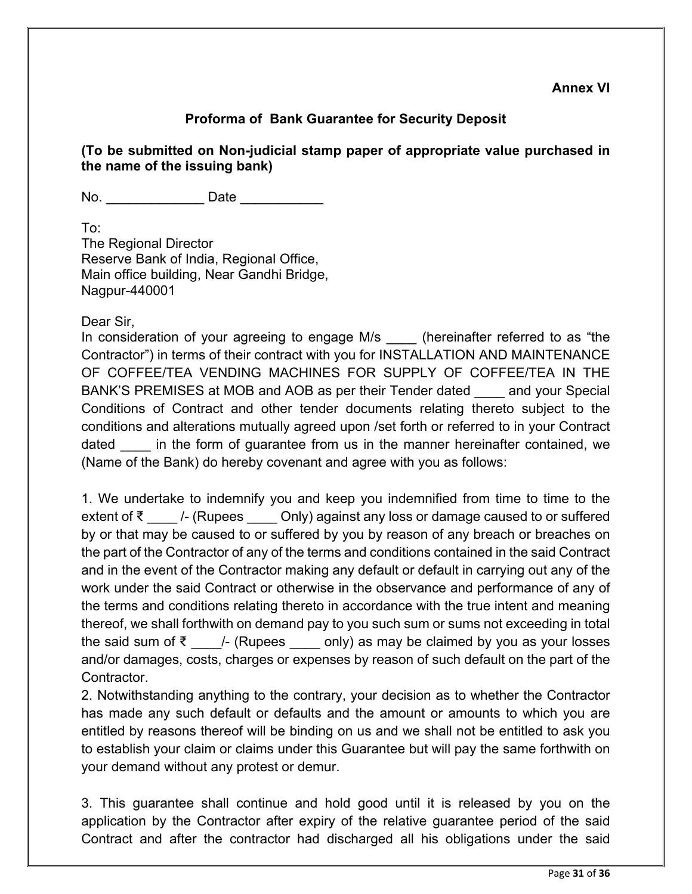### **Proforma of Bank Guarantee for Security Deposit**

**(To be submitted on Non-judicial stamp paper of appropriate value purchased in the name of the issuing bank)** 

No. \_\_\_\_\_\_\_\_\_\_\_\_\_ Date \_\_\_\_\_\_\_\_\_\_\_

To: The Regional Director Reserve Bank of India, Regional Office, Main office building, Near Gandhi Bridge, Nagpur-440001

Dear Sir,

In consideration of your agreeing to engage M/s (hereinafter referred to as "the Contractor") in terms of their contract with you for INSTALLATION AND MAINTENANCE OF COFFEE/TEA VENDING MACHINES FOR SUPPLY OF COFFEE/TEA IN THE BANK'S PREMISES at MOB and AOB as per their Tender dated \_\_\_\_ and your Special Conditions of Contract and other tender documents relating thereto subject to the conditions and alterations mutually agreed upon /set forth or referred to in your Contract dated in the form of guarantee from us in the manner hereinafter contained, we (Name of the Bank) do hereby covenant and agree with you as follows:

1. We undertake to indemnify you and keep you indemnified from time to time to the extent of ₹  $\blacksquare$  /- (Rupees  $\blacksquare$  Only) against any loss or damage caused to or suffered by or that may be caused to or suffered by you by reason of any breach or breaches on the part of the Contractor of any of the terms and conditions contained in the said Contract and in the event of the Contractor making any default or default in carrying out any of the work under the said Contract or otherwise in the observance and performance of any of the terms and conditions relating thereto in accordance with the true intent and meaning thereof, we shall forthwith on demand pay to you such sum or sums not exceeding in total the said sum of  $\bar{\zeta}$  /- (Rupees only) as may be claimed by you as your losses and/or damages, costs, charges or expenses by reason of such default on the part of the Contractor.

2. Notwithstanding anything to the contrary, your decision as to whether the Contractor has made any such default or defaults and the amount or amounts to which you are entitled by reasons thereof will be binding on us and we shall not be entitled to ask you to establish your claim or claims under this Guarantee but will pay the same forthwith on your demand without any protest or demur.

3. This guarantee shall continue and hold good until it is released by you on the application by the Contractor after expiry of the relative guarantee period of the said Contract and after the contractor had discharged all his obligations under the said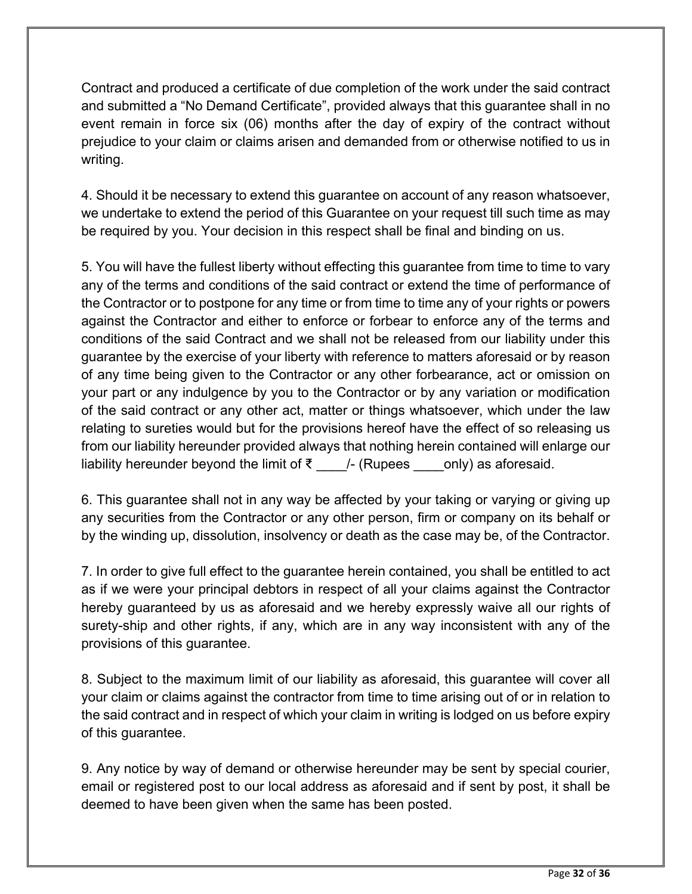Contract and produced a certificate of due completion of the work under the said contract and submitted a "No Demand Certificate", provided always that this guarantee shall in no event remain in force six (06) months after the day of expiry of the contract without prejudice to your claim or claims arisen and demanded from or otherwise notified to us in writing.

4. Should it be necessary to extend this guarantee on account of any reason whatsoever, we undertake to extend the period of this Guarantee on your request till such time as may be required by you. Your decision in this respect shall be final and binding on us.

5. You will have the fullest liberty without effecting this guarantee from time to time to vary any of the terms and conditions of the said contract or extend the time of performance of the Contractor or to postpone for any time or from time to time any of your rights or powers against the Contractor and either to enforce or forbear to enforce any of the terms and conditions of the said Contract and we shall not be released from our liability under this guarantee by the exercise of your liberty with reference to matters aforesaid or by reason of any time being given to the Contractor or any other forbearance, act or omission on your part or any indulgence by you to the Contractor or by any variation or modification of the said contract or any other act, matter or things whatsoever, which under the law relating to sureties would but for the provisions hereof have the effect of so releasing us from our liability hereunder provided always that nothing herein contained will enlarge our liability hereunder beyond the limit of  $\bar{\tau}$  \_\_\_\_/- (Rupees \_\_\_\_only) as aforesaid.

6. This guarantee shall not in any way be affected by your taking or varying or giving up any securities from the Contractor or any other person, firm or company on its behalf or by the winding up, dissolution, insolvency or death as the case may be, of the Contractor.

7. In order to give full effect to the guarantee herein contained, you shall be entitled to act as if we were your principal debtors in respect of all your claims against the Contractor hereby guaranteed by us as aforesaid and we hereby expressly waive all our rights of surety-ship and other rights, if any, which are in any way inconsistent with any of the provisions of this guarantee.

8. Subject to the maximum limit of our liability as aforesaid, this guarantee will cover all your claim or claims against the contractor from time to time arising out of or in relation to the said contract and in respect of which your claim in writing is lodged on us before expiry of this guarantee.

9. Any notice by way of demand or otherwise hereunder may be sent by special courier, email or registered post to our local address as aforesaid and if sent by post, it shall be deemed to have been given when the same has been posted.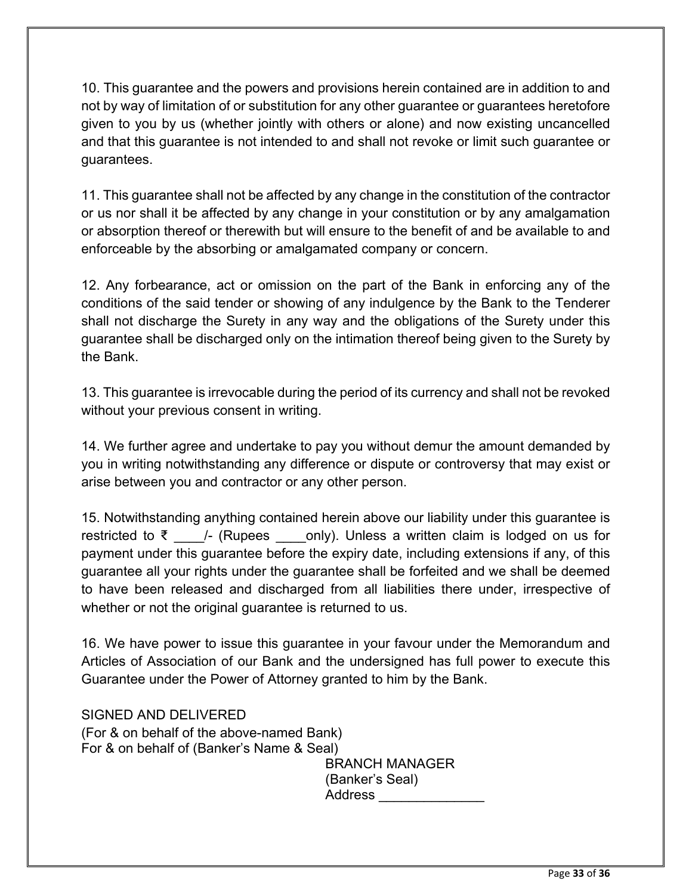10. This guarantee and the powers and provisions herein contained are in addition to and not by way of limitation of or substitution for any other guarantee or guarantees heretofore given to you by us (whether jointly with others or alone) and now existing uncancelled and that this guarantee is not intended to and shall not revoke or limit such guarantee or guarantees.

11. This guarantee shall not be affected by any change in the constitution of the contractor or us nor shall it be affected by any change in your constitution or by any amalgamation or absorption thereof or therewith but will ensure to the benefit of and be available to and enforceable by the absorbing or amalgamated company or concern.

12. Any forbearance, act or omission on the part of the Bank in enforcing any of the conditions of the said tender or showing of any indulgence by the Bank to the Tenderer shall not discharge the Surety in any way and the obligations of the Surety under this guarantee shall be discharged only on the intimation thereof being given to the Surety by the Bank.

13. This guarantee is irrevocable during the period of its currency and shall not be revoked without your previous consent in writing.

14. We further agree and undertake to pay you without demur the amount demanded by you in writing notwithstanding any difference or dispute or controversy that may exist or arise between you and contractor or any other person.

15. Notwithstanding anything contained herein above our liability under this guarantee is restricted to ₹ \_\_\_\_/- (Rupees \_\_\_\_only). Unless a written claim is lodged on us for payment under this guarantee before the expiry date, including extensions if any, of this guarantee all your rights under the guarantee shall be forfeited and we shall be deemed to have been released and discharged from all liabilities there under, irrespective of whether or not the original guarantee is returned to us.

16. We have power to issue this guarantee in your favour under the Memorandum and Articles of Association of our Bank and the undersigned has full power to execute this Guarantee under the Power of Attorney granted to him by the Bank.

SIGNED AND DELIVERED (For & on behalf of the above-named Bank) For & on behalf of (Banker's Name & Seal) BRANCH MANAGER

(Banker's Seal) Address \_\_\_\_\_\_\_\_\_\_\_\_\_\_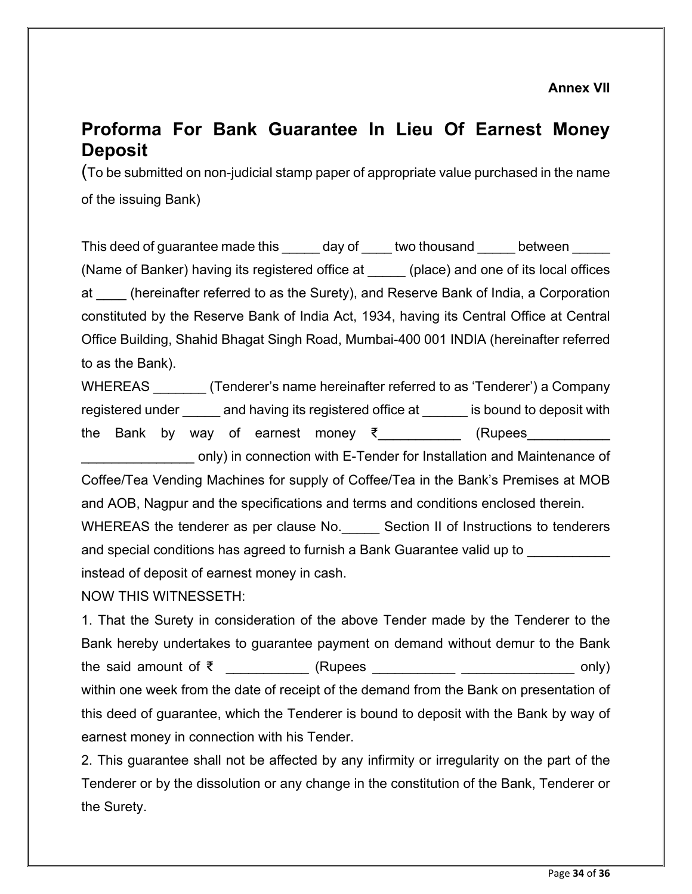# <span id="page-35-1"></span><span id="page-35-0"></span>**Proforma For Bank Guarantee In Lieu Of Earnest Money Deposit**

(To be submitted on non-judicial stamp paper of appropriate value purchased in the name of the issuing Bank)

This deed of guarantee made this day of two thousand between (Name of Banker) having its registered office at \_\_\_\_\_ (place) and one of its local offices at \_\_\_\_ (hereinafter referred to as the Surety), and Reserve Bank of India, a Corporation constituted by the Reserve Bank of India Act, 1934, having its Central Office at Central Office Building, Shahid Bhagat Singh Road, Mumbai-400 001 INDIA (hereinafter referred to as the Bank).

WHEREAS (Tenderer's name hereinafter referred to as 'Tenderer') a Company registered under \_\_\_\_\_ and having its registered office at \_\_\_\_\_\_ is bound to deposit with the Bank by way of earnest money ₹ (Rupees

\_\_\_\_\_\_\_\_\_\_\_\_\_\_\_ only) in connection with E-Tender for Installation and Maintenance of Coffee/Tea Vending Machines for supply of Coffee/Tea in the Bank's Premises at MOB and AOB, Nagpur and the specifications and terms and conditions enclosed therein. WHEREAS the tenderer as per clause No. \_\_\_\_\_ Section II of Instructions to tenderers

and special conditions has agreed to furnish a Bank Guarantee valid up to instead of deposit of earnest money in cash.

NOW THIS WITNESSETH:

1. That the Surety in consideration of the above Tender made by the Tenderer to the Bank hereby undertakes to guarantee payment on demand without demur to the Bank the said amount of ₹ \_\_\_\_\_\_\_\_\_\_\_ (Rupees \_\_\_\_\_\_\_\_\_\_\_ \_\_\_\_\_\_\_\_\_\_\_\_\_\_\_\_ only) within one week from the date of receipt of the demand from the Bank on presentation of this deed of guarantee, which the Tenderer is bound to deposit with the Bank by way of earnest money in connection with his Tender.

2. This guarantee shall not be affected by any infirmity or irregularity on the part of the Tenderer or by the dissolution or any change in the constitution of the Bank, Tenderer or the Surety.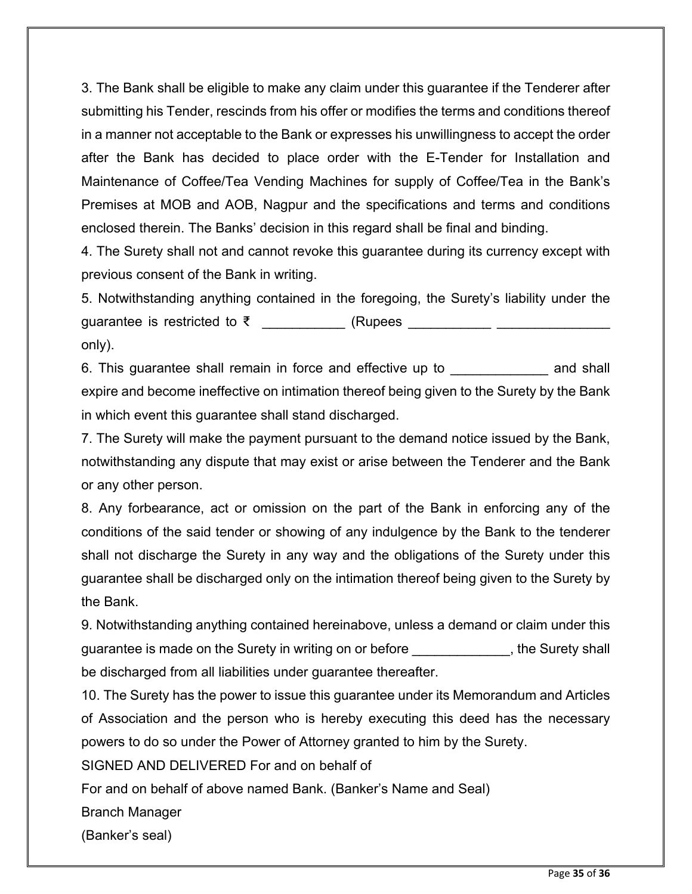3. The Bank shall be eligible to make any claim under this guarantee if the Tenderer after submitting his Tender, rescinds from his offer or modifies the terms and conditions thereof in a manner not acceptable to the Bank or expresses his unwillingness to accept the order after the Bank has decided to place order with the E-Tender for Installation and Maintenance of Coffee/Tea Vending Machines for supply of Coffee/Tea in the Bank's Premises at MOB and AOB, Nagpur and the specifications and terms and conditions enclosed therein. The Banks' decision in this regard shall be final and binding.

4. The Surety shall not and cannot revoke this guarantee during its currency except with previous consent of the Bank in writing.

5. Notwithstanding anything contained in the foregoing, the Surety's liability under the guarantee is restricted to ₹ \_\_\_\_\_\_\_\_\_\_ (Rupees \_\_\_\_\_\_\_\_\_\_\_\_\_\_\_\_\_\_\_\_\_\_\_\_\_\_\_\_\_\_\_\_ only).

6. This guarantee shall remain in force and effective up to example and shall expire and become ineffective on intimation thereof being given to the Surety by the Bank in which event this guarantee shall stand discharged.

7. The Surety will make the payment pursuant to the demand notice issued by the Bank, notwithstanding any dispute that may exist or arise between the Tenderer and the Bank or any other person.

8. Any forbearance, act or omission on the part of the Bank in enforcing any of the conditions of the said tender or showing of any indulgence by the Bank to the tenderer shall not discharge the Surety in any way and the obligations of the Surety under this guarantee shall be discharged only on the intimation thereof being given to the Surety by the Bank.

9. Notwithstanding anything contained hereinabove, unless a demand or claim under this guarantee is made on the Surety in writing on or before \_\_\_\_\_\_\_\_\_\_\_\_, the Surety shall be discharged from all liabilities under guarantee thereafter.

10. The Surety has the power to issue this guarantee under its Memorandum and Articles of Association and the person who is hereby executing this deed has the necessary powers to do so under the Power of Attorney granted to him by the Surety.

SIGNED AND DELIVERED For and on behalf of

For and on behalf of above named Bank. (Banker's Name and Seal)

Branch Manager

(Banker's seal)